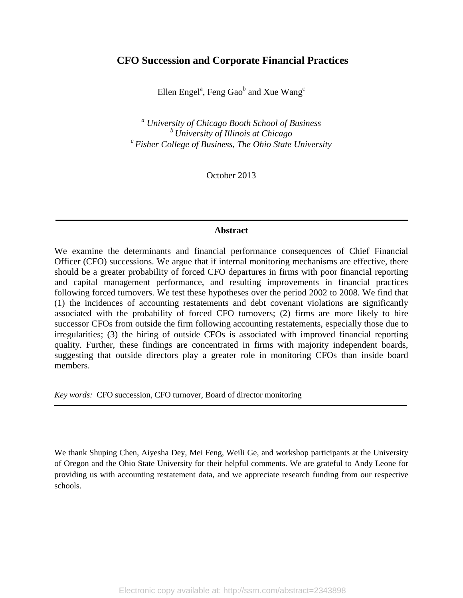# **CFO Succession and Corporate Financial Practices**

Ellen Engel<sup>a</sup>, Feng Gao<sup>b</sup> and Xue Wang<sup>c</sup>

*<sup>a</sup> University of Chicago Booth School of Business <sup>b</sup> University of Illinois at Chicago <sup>c</sup> Fisher College of Business, The Ohio State University*

October 2013

# **Abstract**

We examine the determinants and financial performance consequences of Chief Financial Officer (CFO) successions. We argue that if internal monitoring mechanisms are effective, there should be a greater probability of forced CFO departures in firms with poor financial reporting and capital management performance, and resulting improvements in financial practices following forced turnovers. We test these hypotheses over the period 2002 to 2008. We find that (1) the incidences of accounting restatements and debt covenant violations are significantly associated with the probability of forced CFO turnovers; (2) firms are more likely to hire successor CFOs from outside the firm following accounting restatements, especially those due to irregularities; (3) the hiring of outside CFOs is associated with improved financial reporting quality. Further, these findings are concentrated in firms with majority independent boards, suggesting that outside directors play a greater role in monitoring CFOs than inside board members.

*Key words:* CFO succession, CFO turnover, Board of director monitoring

We thank Shuping Chen, Aiyesha Dey, Mei Feng, Weili Ge, and workshop participants at the University of Oregon and the Ohio State University for their helpful comments. We are grateful to Andy Leone for providing us with accounting restatement data, and we appreciate research funding from our respective schools.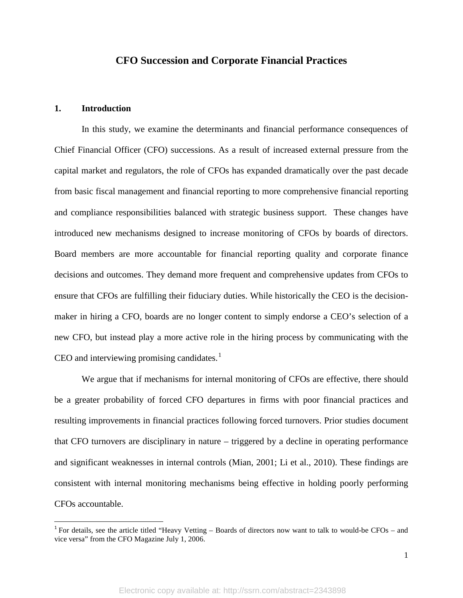# **CFO Succession and Corporate Financial Practices**

# **1. Introduction**

 $\overline{\phantom{a}}$ 

In this study, we examine the determinants and financial performance consequences of Chief Financial Officer (CFO) successions. As a result of increased external pressure from the capital market and regulators, the role of CFOs has expanded dramatically over the past decade from basic fiscal management and financial reporting to more comprehensive financial reporting and compliance responsibilities balanced with strategic business support. These changes have introduced new mechanisms designed to increase monitoring of CFOs by boards of directors. Board members are more accountable for financial reporting quality and corporate finance decisions and outcomes. They demand more frequent and comprehensive updates from CFOs to ensure that CFOs are fulfilling their fiduciary duties. While historically the CEO is the decisionmaker in hiring a CFO, boards are no longer content to simply endorse a CEO's selection of a new CFO, but instead play a more active role in the hiring process by communicating with the CEO and interviewing promising candidates. $1$ 

We argue that if mechanisms for internal monitoring of CFOs are effective, there should be a greater probability of forced CFO departures in firms with poor financial practices and resulting improvements in financial practices following forced turnovers. Prior studies document that CFO turnovers are disciplinary in nature – triggered by a decline in operating performance and significant weaknesses in internal controls (Mian, 2001; Li et al., 2010). These findings are consistent with internal monitoring mechanisms being effective in holding poorly performing CFOs accountable.

<span id="page-1-0"></span> $1$  For details, see the article titled "Heavy Vetting – Boards of directors now want to talk to would-be CFOs – and vice versa" from the CFO Magazine July 1, 2006.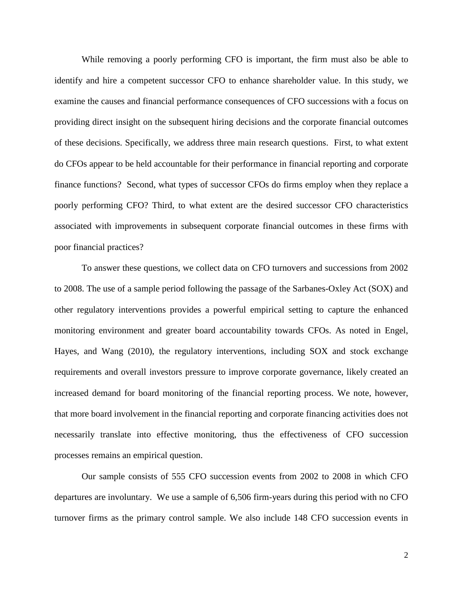While removing a poorly performing CFO is important, the firm must also be able to identify and hire a competent successor CFO to enhance shareholder value. In this study, we examine the causes and financial performance consequences of CFO successions with a focus on providing direct insight on the subsequent hiring decisions and the corporate financial outcomes of these decisions. Specifically, we address three main research questions. First, to what extent do CFOs appear to be held accountable for their performance in financial reporting and corporate finance functions? Second, what types of successor CFOs do firms employ when they replace a poorly performing CFO? Third, to what extent are the desired successor CFO characteristics associated with improvements in subsequent corporate financial outcomes in these firms with poor financial practices?

To answer these questions, we collect data on CFO turnovers and successions from 2002 to 2008. The use of a sample period following the passage of the Sarbanes-Oxley Act (SOX) and other regulatory interventions provides a powerful empirical setting to capture the enhanced monitoring environment and greater board accountability towards CFOs. As noted in Engel, Hayes, and Wang (2010), the regulatory interventions, including SOX and stock exchange requirements and overall investors pressure to improve corporate governance, likely created an increased demand for board monitoring of the financial reporting process. We note, however, that more board involvement in the financial reporting and corporate financing activities does not necessarily translate into effective monitoring, thus the effectiveness of CFO succession processes remains an empirical question.

Our sample consists of 555 CFO succession events from 2002 to 2008 in which CFO departures are involuntary. We use a sample of 6,506 firm-years during this period with no CFO turnover firms as the primary control sample. We also include 148 CFO succession events in

2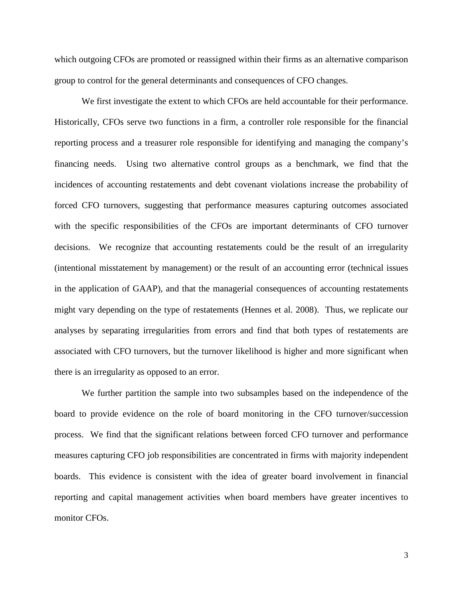which outgoing CFOs are promoted or reassigned within their firms as an alternative comparison group to control for the general determinants and consequences of CFO changes.

We first investigate the extent to which CFOs are held accountable for their performance. Historically, CFOs serve two functions in a firm, a controller role responsible for the financial reporting process and a treasurer role responsible for identifying and managing the company's financing needs. Using two alternative control groups as a benchmark, we find that the incidences of accounting restatements and debt covenant violations increase the probability of forced CFO turnovers, suggesting that performance measures capturing outcomes associated with the specific responsibilities of the CFOs are important determinants of CFO turnover decisions. We recognize that accounting restatements could be the result of an irregularity (intentional misstatement by management) or the result of an accounting error (technical issues in the application of GAAP), and that the managerial consequences of accounting restatements might vary depending on the type of restatements (Hennes et al. 2008). Thus, we replicate our analyses by separating irregularities from errors and find that both types of restatements are associated with CFO turnovers, but the turnover likelihood is higher and more significant when there is an irregularity as opposed to an error.

We further partition the sample into two subsamples based on the independence of the board to provide evidence on the role of board monitoring in the CFO turnover/succession process. We find that the significant relations between forced CFO turnover and performance measures capturing CFO job responsibilities are concentrated in firms with majority independent boards. This evidence is consistent with the idea of greater board involvement in financial reporting and capital management activities when board members have greater incentives to monitor CFOs.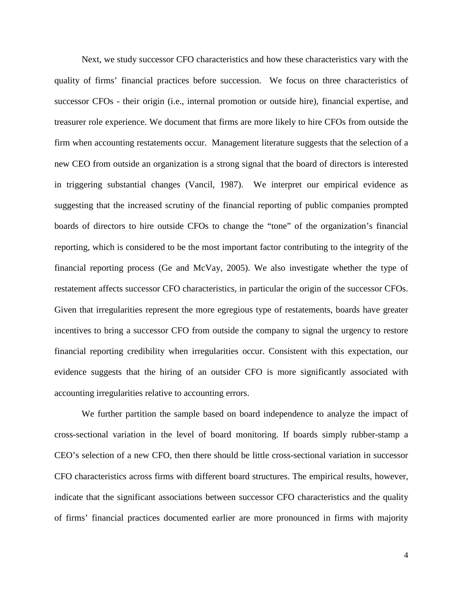Next, we study successor CFO characteristics and how these characteristics vary with the quality of firms' financial practices before succession. We focus on three characteristics of successor CFOs - their origin (i.e., internal promotion or outside hire), financial expertise, and treasurer role experience. We document that firms are more likely to hire CFOs from outside the firm when accounting restatements occur. Management literature suggests that the selection of a new CEO from outside an organization is a strong signal that the board of directors is interested in triggering substantial changes (Vancil, 1987). We interpret our empirical evidence as suggesting that the increased scrutiny of the financial reporting of public companies prompted boards of directors to hire outside CFOs to change the "tone" of the organization's financial reporting, which is considered to be the most important factor contributing to the integrity of the financial reporting process (Ge and McVay, 2005). We also investigate whether the type of restatement affects successor CFO characteristics, in particular the origin of the successor CFOs. Given that irregularities represent the more egregious type of restatements, boards have greater incentives to bring a successor CFO from outside the company to signal the urgency to restore financial reporting credibility when irregularities occur. Consistent with this expectation, our evidence suggests that the hiring of an outsider CFO is more significantly associated with accounting irregularities relative to accounting errors.

We further partition the sample based on board independence to analyze the impact of cross-sectional variation in the level of board monitoring. If boards simply rubber-stamp a CEO's selection of a new CFO, then there should be little cross-sectional variation in successor CFO characteristics across firms with different board structures. The empirical results, however, indicate that the significant associations between successor CFO characteristics and the quality of firms' financial practices documented earlier are more pronounced in firms with majority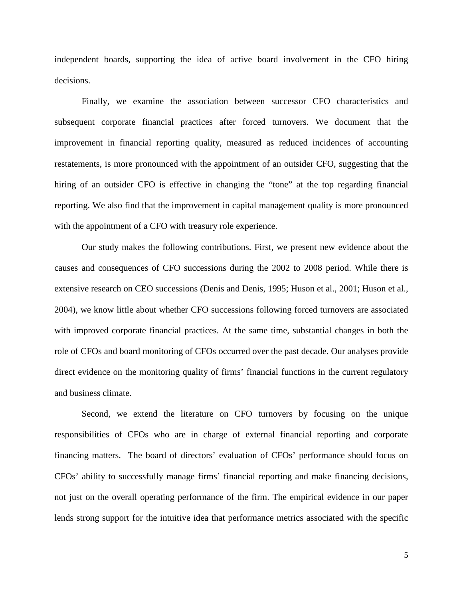independent boards, supporting the idea of active board involvement in the CFO hiring decisions.

Finally, we examine the association between successor CFO characteristics and subsequent corporate financial practices after forced turnovers. We document that the improvement in financial reporting quality, measured as reduced incidences of accounting restatements, is more pronounced with the appointment of an outsider CFO, suggesting that the hiring of an outsider CFO is effective in changing the "tone" at the top regarding financial reporting. We also find that the improvement in capital management quality is more pronounced with the appointment of a CFO with treasury role experience.

Our study makes the following contributions. First, we present new evidence about the causes and consequences of CFO successions during the 2002 to 2008 period. While there is extensive research on CEO successions (Denis and Denis, 1995; Huson et al., 2001; Huson et al., 2004), we know little about whether CFO successions following forced turnovers are associated with improved corporate financial practices. At the same time, substantial changes in both the role of CFOs and board monitoring of CFOs occurred over the past decade. Our analyses provide direct evidence on the monitoring quality of firms' financial functions in the current regulatory and business climate.

Second, we extend the literature on CFO turnovers by focusing on the unique responsibilities of CFOs who are in charge of external financial reporting and corporate financing matters. The board of directors' evaluation of CFOs' performance should focus on CFOs' ability to successfully manage firms' financial reporting and make financing decisions, not just on the overall operating performance of the firm. The empirical evidence in our paper lends strong support for the intuitive idea that performance metrics associated with the specific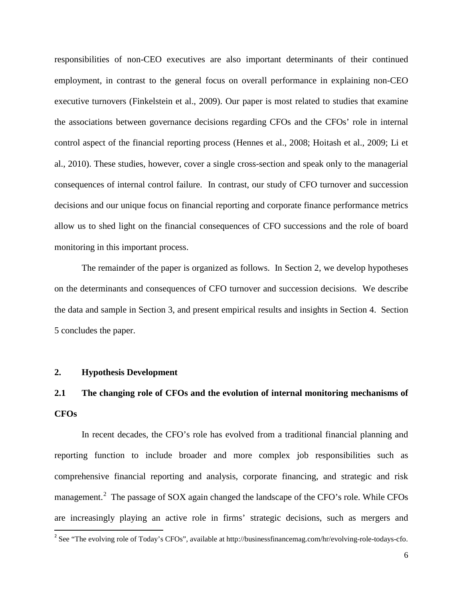responsibilities of non-CEO executives are also important determinants of their continued employment, in contrast to the general focus on overall performance in explaining non-CEO executive turnovers (Finkelstein et al., 2009). Our paper is most related to studies that examine the associations between governance decisions regarding CFOs and the CFOs' role in internal control aspect of the financial reporting process (Hennes et al., 2008; Hoitash et al., 2009; Li et al., 2010). These studies, however, cover a single cross-section and speak only to the managerial consequences of internal control failure. In contrast, our study of CFO turnover and succession decisions and our unique focus on financial reporting and corporate finance performance metrics allow us to shed light on the financial consequences of CFO successions and the role of board monitoring in this important process.

The remainder of the paper is organized as follows. In Section 2, we develop hypotheses on the determinants and consequences of CFO turnover and succession decisions. We describe the data and sample in Section 3, and present empirical results and insights in Section 4. Section 5 concludes the paper.

# **2. Hypothesis Development**

l

# **2.1 The changing role of CFOs and the evolution of internal monitoring mechanisms of CFOs**

In recent decades, the CFO's role has evolved from a traditional financial planning and reporting function to include broader and more complex job responsibilities such as comprehensive financial reporting and analysis, corporate financing, and strategic and risk management.<sup>[2](#page-6-0)</sup> The passage of SOX again changed the landscape of the CFO's role. While CFOs are increasingly playing an active role in firms' strategic decisions, such as mergers and

<span id="page-6-0"></span><sup>&</sup>lt;sup>2</sup> See "The evolving role of Today's CFOs", available at http://businessfinancemag.com/hr/evolving-role-todays-cfo.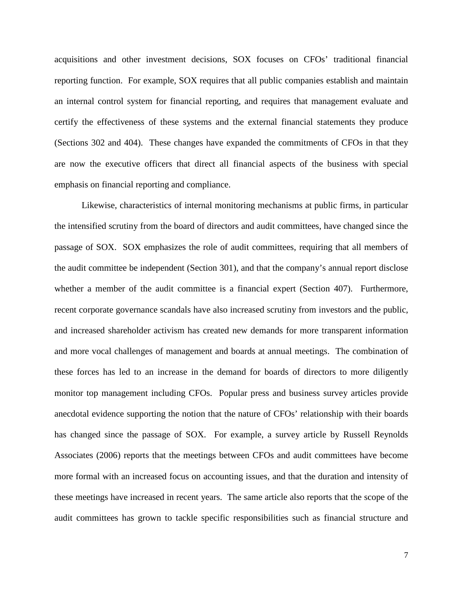acquisitions and other investment decisions, SOX focuses on CFOs' traditional financial reporting function. For example, SOX requires that all public companies establish and maintain an internal control system for financial reporting, and requires that management evaluate and certify the effectiveness of these systems and the external financial statements they produce (Sections 302 and 404). These changes have expanded the commitments of CFOs in that they are now the executive officers that direct all financial aspects of the business with special emphasis on financial reporting and compliance.

Likewise, characteristics of internal monitoring mechanisms at public firms, in particular the intensified scrutiny from the board of directors and audit committees, have changed since the passage of SOX. SOX emphasizes the role of audit committees, requiring that all members of the audit committee be independent (Section 301), and that the company's annual report disclose whether a member of the audit committee is a financial expert (Section 407). Furthermore, recent corporate governance scandals have also increased scrutiny from investors and the public, and increased shareholder activism has created new demands for more transparent information and more vocal challenges of management and boards at annual meetings. The combination of these forces has led to an increase in the demand for boards of directors to more diligently monitor top management including CFOs. Popular press and business survey articles provide anecdotal evidence supporting the notion that the nature of CFOs' relationship with their boards has changed since the passage of SOX. For example, a survey article by Russell Reynolds Associates (2006) reports that the meetings between CFOs and audit committees have become more formal with an increased focus on accounting issues, and that the duration and intensity of these meetings have increased in recent years. The same article also reports that the scope of the audit committees has grown to tackle specific responsibilities such as financial structure and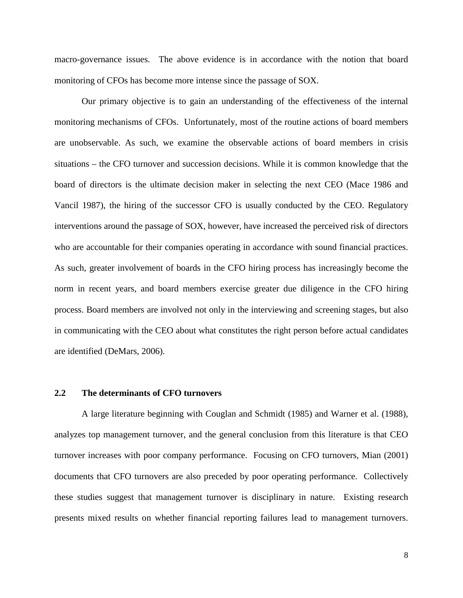macro-governance issues. The above evidence is in accordance with the notion that board monitoring of CFOs has become more intense since the passage of SOX.

Our primary objective is to gain an understanding of the effectiveness of the internal monitoring mechanisms of CFOs. Unfortunately, most of the routine actions of board members are unobservable. As such, we examine the observable actions of board members in crisis situations – the CFO turnover and succession decisions. While it is common knowledge that the board of directors is the ultimate decision maker in selecting the next CEO (Mace 1986 and Vancil 1987), the hiring of the successor CFO is usually conducted by the CEO. Regulatory interventions around the passage of SOX, however, have increased the perceived risk of directors who are accountable for their companies operating in accordance with sound financial practices. As such, greater involvement of boards in the CFO hiring process has increasingly become the norm in recent years, and board members exercise greater due diligence in the CFO hiring process. Board members are involved not only in the interviewing and screening stages, but also in communicating with the CEO about what constitutes the right person before actual candidates are identified (DeMars, 2006).

### **2.2 The determinants of CFO turnovers**

A large literature beginning with Couglan and Schmidt (1985) and Warner et al. (1988), analyzes top management turnover, and the general conclusion from this literature is that CEO turnover increases with poor company performance. Focusing on CFO turnovers, Mian (2001) documents that CFO turnovers are also preceded by poor operating performance. Collectively these studies suggest that management turnover is disciplinary in nature. Existing research presents mixed results on whether financial reporting failures lead to management turnovers.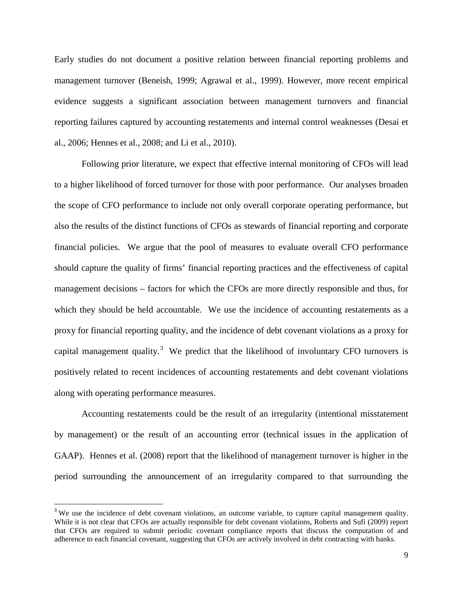Early studies do not document a positive relation between financial reporting problems and management turnover (Beneish, 1999; Agrawal et al., 1999). However, more recent empirical evidence suggests a significant association between management turnovers and financial reporting failures captured by accounting restatements and internal control weaknesses (Desai et al., 2006; Hennes et al., 2008; and Li et al., 2010).

Following prior literature, we expect that effective internal monitoring of CFOs will lead to a higher likelihood of forced turnover for those with poor performance. Our analyses broaden the scope of CFO performance to include not only overall corporate operating performance, but also the results of the distinct functions of CFOs as stewards of financial reporting and corporate financial policies. We argue that the pool of measures to evaluate overall CFO performance should capture the quality of firms' financial reporting practices and the effectiveness of capital management decisions – factors for which the CFOs are more directly responsible and thus, for which they should be held accountable. We use the incidence of accounting restatements as a proxy for financial reporting quality, and the incidence of debt covenant violations as a proxy for capital management quality.<sup>[3](#page-9-0)</sup> We predict that the likelihood of involuntary CFO turnovers is positively related to recent incidences of accounting restatements and debt covenant violations along with operating performance measures.

Accounting restatements could be the result of an irregularity (intentional misstatement by management) or the result of an accounting error (technical issues in the application of GAAP). Hennes et al. (2008) report that the likelihood of management turnover is higher in the period surrounding the announcement of an irregularity compared to that surrounding the

l

<span id="page-9-0"></span><sup>&</sup>lt;sup>3</sup> We use the incidence of debt covenant violations, an outcome variable, to capture capital management quality. While it is not clear that CFOs are actually responsible for debt covenant violations, Roberts and Sufi (2009) report that CFOs are required to submit periodic covenant compliance reports that discuss the computation of and adherence to each financial covenant, suggesting that CFOs are actively involved in debt contracting with banks.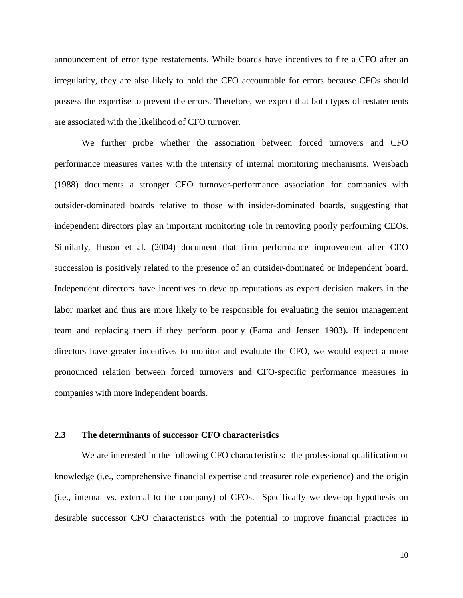announcement of error type restatements. While boards have incentives to fire a CFO after an irregularity, they are also likely to hold the CFO accountable for errors because CFOs should possess the expertise to prevent the errors. Therefore, we expect that both types of restatements are associated with the likelihood of CFO turnover.

We further probe whether the association between forced turnovers and CFO performance measures varies with the intensity of internal monitoring mechanisms. Weisbach (1988) documents a stronger CEO turnover-performance association for companies with outsider-dominated boards relative to those with insider-dominated boards, suggesting that independent directors play an important monitoring role in removing poorly performing CEOs. Similarly, Huson et al. (2004) document that firm performance improvement after CEO succession is positively related to the presence of an outsider-dominated or independent board. Independent directors have incentives to develop reputations as expert decision makers in the labor market and thus are more likely to be responsible for evaluating the senior management team and replacing them if they perform poorly (Fama and Jensen 1983). If independent directors have greater incentives to monitor and evaluate the CFO, we would expect a more pronounced relation between forced turnovers and CFO-specific performance measures in companies with more independent boards.

# **2.3 The determinants of successor CFO characteristics**

We are interested in the following CFO characteristics: the professional qualification or knowledge (i.e., comprehensive financial expertise and treasurer role experience) and the origin (i.e., internal vs. external to the company) of CFOs. Specifically we develop hypothesis on desirable successor CFO characteristics with the potential to improve financial practices in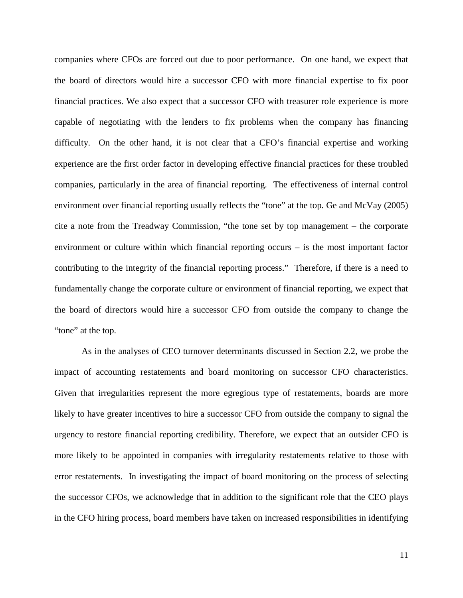companies where CFOs are forced out due to poor performance. On one hand, we expect that the board of directors would hire a successor CFO with more financial expertise to fix poor financial practices. We also expect that a successor CFO with treasurer role experience is more capable of negotiating with the lenders to fix problems when the company has financing difficulty. On the other hand, it is not clear that a CFO's financial expertise and working experience are the first order factor in developing effective financial practices for these troubled companies, particularly in the area of financial reporting. The effectiveness of internal control environment over financial reporting usually reflects the "tone" at the top. Ge and McVay (2005) cite a note from the Treadway Commission, "the tone set by top management – the corporate environment or culture within which financial reporting occurs – is the most important factor contributing to the integrity of the financial reporting process." Therefore, if there is a need to fundamentally change the corporate culture or environment of financial reporting, we expect that the board of directors would hire a successor CFO from outside the company to change the "tone" at the top.

As in the analyses of CEO turnover determinants discussed in Section 2.2, we probe the impact of accounting restatements and board monitoring on successor CFO characteristics. Given that irregularities represent the more egregious type of restatements, boards are more likely to have greater incentives to hire a successor CFO from outside the company to signal the urgency to restore financial reporting credibility. Therefore, we expect that an outsider CFO is more likely to be appointed in companies with irregularity restatements relative to those with error restatements. In investigating the impact of board monitoring on the process of selecting the successor CFOs, we acknowledge that in addition to the significant role that the CEO plays in the CFO hiring process, board members have taken on increased responsibilities in identifying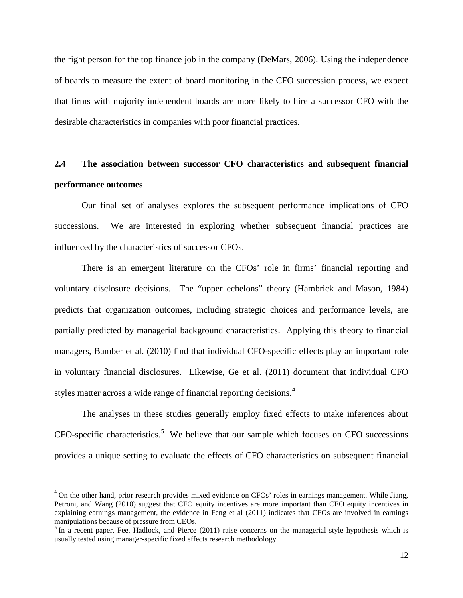the right person for the top finance job in the company (DeMars, 2006). Using the independence of boards to measure the extent of board monitoring in the CFO succession process, we expect that firms with majority independent boards are more likely to hire a successor CFO with the desirable characteristics in companies with poor financial practices.

# **2.4 The association between successor CFO characteristics and subsequent financial performance outcomes**

Our final set of analyses explores the subsequent performance implications of CFO successions. We are interested in exploring whether subsequent financial practices are influenced by the characteristics of successor CFOs.

There is an emergent literature on the CFOs' role in firms' financial reporting and voluntary disclosure decisions. The "upper echelons" theory (Hambrick and Mason, 1984) predicts that organization outcomes, including strategic choices and performance levels, are partially predicted by managerial background characteristics. Applying this theory to financial managers, Bamber et al. (2010) find that individual CFO-specific effects play an important role in voluntary financial disclosures. Likewise, Ge et al. (2011) document that individual CFO styles matter across a wide range of financial reporting decisions.<sup>[4](#page-12-0)</sup>

The analyses in these studies generally employ fixed effects to make inferences about CFO-specific characteristics. [5](#page-12-1) We believe that our sample which focuses on CFO successions provides a unique setting to evaluate the effects of CFO characteristics on subsequent financial

 $\overline{\phantom{a}}$ 

<span id="page-12-0"></span> $4$  On the other hand, prior research provides mixed evidence on CFOs' roles in earnings management. While Jiang, Petroni, and Wang (2010) suggest that CFO equity incentives are more important than CEO equity incentives in explaining earnings management, the evidence in Feng et al (2011) indicates that CFOs are involved in earnings manipulations because of pressure from CEOs.

<span id="page-12-1"></span><sup>&</sup>lt;sup>5</sup> In a recent paper, Fee, Hadlock, and Pierce (2011) raise concerns on the managerial style hypothesis which is usually tested using manager-specific fixed effects research methodology.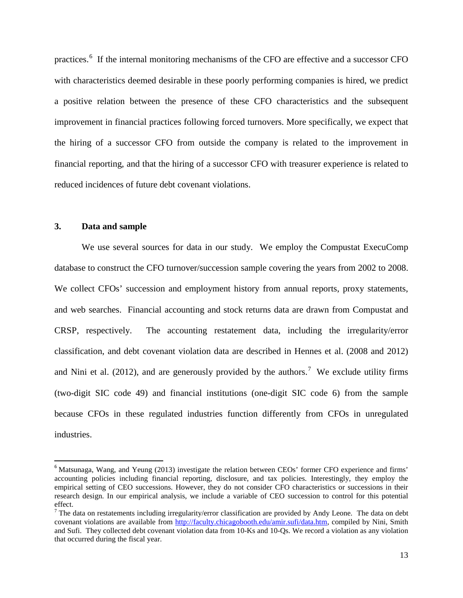practices.<sup>[6](#page-13-0)</sup> If the internal monitoring mechanisms of the CFO are effective and a successor CFO with characteristics deemed desirable in these poorly performing companies is hired, we predict a positive relation between the presence of these CFO characteristics and the subsequent improvement in financial practices following forced turnovers. More specifically, we expect that the hiring of a successor CFO from outside the company is related to the improvement in financial reporting, and that the hiring of a successor CFO with treasurer experience is related to reduced incidences of future debt covenant violations.

## **3. Data and sample**

l

We use several sources for data in our study. We employ the Compustat ExecuComp database to construct the CFO turnover/succession sample covering the years from 2002 to 2008. We collect CFOs' succession and employment history from annual reports, proxy statements, and web searches. Financial accounting and stock returns data are drawn from Compustat and CRSP, respectively. The accounting restatement data, including the irregularity/error classification, and debt covenant violation data are described in Hennes et al. (2008 and 2012) and Nini et al. (2012), and are generously provided by the authors.<sup>[7](#page-13-1)</sup> We exclude utility firms (two-digit SIC code 49) and financial institutions (one-digit SIC code 6) from the sample because CFOs in these regulated industries function differently from CFOs in unregulated industries.

<span id="page-13-0"></span><sup>&</sup>lt;sup>6</sup> Matsunaga, Wang, and Yeung (2013) investigate the relation between CEOs' former CFO experience and firms' accounting policies including financial reporting, disclosure, and tax policies. Interestingly, they employ the empirical setting of CEO successions. However, they do not consider CFO characteristics or successions in their research design. In our empirical analysis, we include a variable of CEO succession to control for this potential effect.

<span id="page-13-1"></span> $7$  The data on restatements including irregularity/error classification are provided by Andy Leone. The data on debt covenant violations are available from [http://faculty.chicagobooth.edu/amir.sufi/data.htm,](http://faculty.chicagobooth.edu/amir.sufi/data.htm) compiled by Nini, Smith and Sufi. They collected debt covenant violation data from 10-Ks and 10-Qs. We record a violation as any violation that occurred during the fiscal year.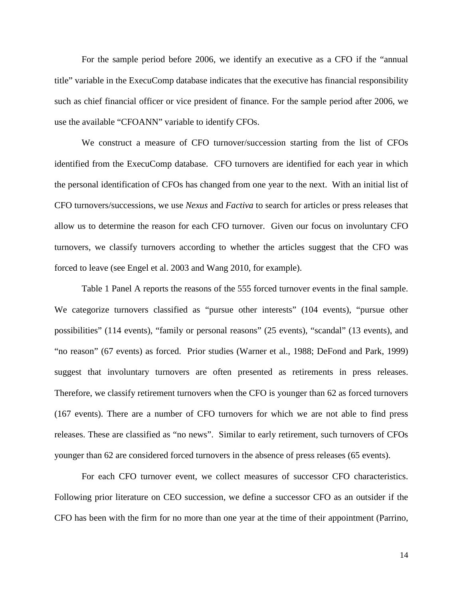For the sample period before 2006, we identify an executive as a CFO if the "annual title" variable in the ExecuComp database indicates that the executive has financial responsibility such as chief financial officer or vice president of finance. For the sample period after 2006, we use the available "CFOANN" variable to identify CFOs.

We construct a measure of CFO turnover/succession starting from the list of CFOs identified from the ExecuComp database. CFO turnovers are identified for each year in which the personal identification of CFOs has changed from one year to the next. With an initial list of CFO turnovers/successions, we use *Nexus* and *Factiva* to search for articles or press releases that allow us to determine the reason for each CFO turnover. Given our focus on involuntary CFO turnovers, we classify turnovers according to whether the articles suggest that the CFO was forced to leave (see Engel et al. 2003 and Wang 2010, for example).

Table 1 Panel A reports the reasons of the 555 forced turnover events in the final sample. We categorize turnovers classified as "pursue other interests" (104 events), "pursue other possibilities" (114 events), "family or personal reasons" (25 events), "scandal" (13 events), and "no reason" (67 events) as forced. Prior studies (Warner et al., 1988; DeFond and Park, 1999) suggest that involuntary turnovers are often presented as retirements in press releases. Therefore, we classify retirement turnovers when the CFO is younger than 62 as forced turnovers (167 events). There are a number of CFO turnovers for which we are not able to find press releases. These are classified as "no news". Similar to early retirement, such turnovers of CFOs younger than 62 are considered forced turnovers in the absence of press releases (65 events).

For each CFO turnover event, we collect measures of successor CFO characteristics. Following prior literature on CEO succession, we define a successor CFO as an outsider if the CFO has been with the firm for no more than one year at the time of their appointment (Parrino,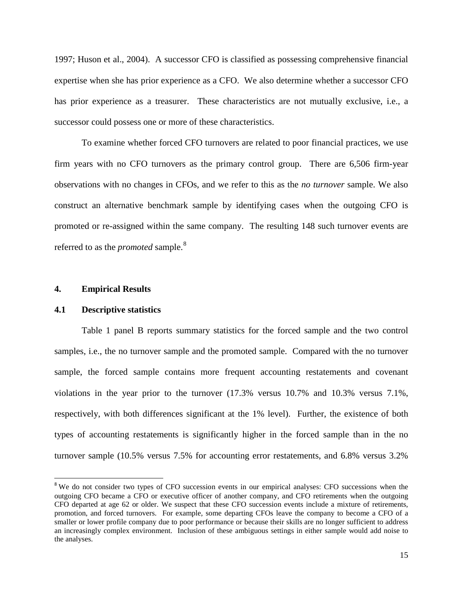1997; Huson et al., 2004). A successor CFO is classified as possessing comprehensive financial expertise when she has prior experience as a CFO. We also determine whether a successor CFO has prior experience as a treasurer. These characteristics are not mutually exclusive, i.e., a successor could possess one or more of these characteristics.

To examine whether forced CFO turnovers are related to poor financial practices, we use firm years with no CFO turnovers as the primary control group. There are 6,506 firm-year observations with no changes in CFOs, and we refer to this as the *no turnover* sample. We also construct an alternative benchmark sample by identifying cases when the outgoing CFO is promoted or re-assigned within the same company. The resulting 148 such turnover events are referred to as the *promoted* sample.<sup>[8](#page-15-0)</sup>

### **4. Empirical Results**

l

### **4.1 Descriptive statistics**

Table 1 panel B reports summary statistics for the forced sample and the two control samples, i.e., the no turnover sample and the promoted sample. Compared with the no turnover sample, the forced sample contains more frequent accounting restatements and covenant violations in the year prior to the turnover (17.3% versus 10.7% and 10.3% versus 7.1%, respectively, with both differences significant at the 1% level). Further, the existence of both types of accounting restatements is significantly higher in the forced sample than in the no turnover sample (10.5% versus 7.5% for accounting error restatements, and 6.8% versus 3.2%

<span id="page-15-0"></span><sup>&</sup>lt;sup>8</sup> We do not consider two types of CFO succession events in our empirical analyses: CFO successions when the outgoing CFO became a CFO or executive officer of another company, and CFO retirements when the outgoing CFO departed at age 62 or older. We suspect that these CFO succession events include a mixture of retirements, promotion, and forced turnovers. For example, some departing CFOs leave the company to become a CFO of a smaller or lower profile company due to poor performance or because their skills are no longer sufficient to address an increasingly complex environment. Inclusion of these ambiguous settings in either sample would add noise to the analyses.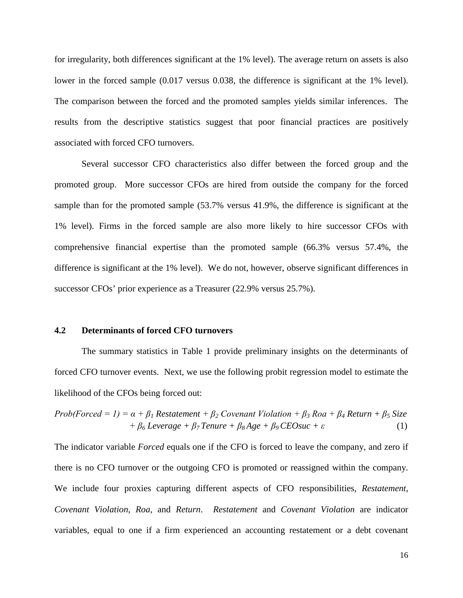for irregularity, both differences significant at the 1% level). The average return on assets is also lower in the forced sample  $(0.017 \text{ versus } 0.038, \text{ the difference is significant at the } 1\% \text{ level}).$ The comparison between the forced and the promoted samples yields similar inferences. The results from the descriptive statistics suggest that poor financial practices are positively associated with forced CFO turnovers.

Several successor CFO characteristics also differ between the forced group and the promoted group. More successor CFOs are hired from outside the company for the forced sample than for the promoted sample (53.7% versus 41.9%, the difference is significant at the 1% level). Firms in the forced sample are also more likely to hire successor CFOs with comprehensive financial expertise than the promoted sample (66.3% versus 57.4%, the difference is significant at the 1% level). We do not, however, observe significant differences in successor CFOs' prior experience as a Treasurer (22.9% versus 25.7%).

# **4.2 Determinants of forced CFO turnovers**

The summary statistics in Table 1 provide preliminary insights on the determinants of forced CFO turnover events. Next, we use the following probit regression model to estimate the likelihood of the CFOs being forced out:

$$
Prob(Forced = 1) = \alpha + \beta_1 \text{ Restatement} + \beta_2 \text{Covenant Violation} + \beta_3 \text{Roa} + \beta_4 \text{Return} + \beta_5 \text{Size} + \beta_6 \text{Leverage} + \beta_7 \text{Tenure} + \beta_8 \text{Age} + \beta_9 \text{CEO} \text{succ} + \varepsilon
$$
 (1)

The indicator variable *Forced* equals one if the CFO is forced to leave the company, and zero if there is no CFO turnover or the outgoing CFO is promoted or reassigned within the company. We include four proxies capturing different aspects of CFO responsibilities, *Restatement*, *Covenant Violation, Roa,* and *Return*. *Restatement* and *Covenant Violation* are indicator variables, equal to one if a firm experienced an accounting restatement or a debt covenant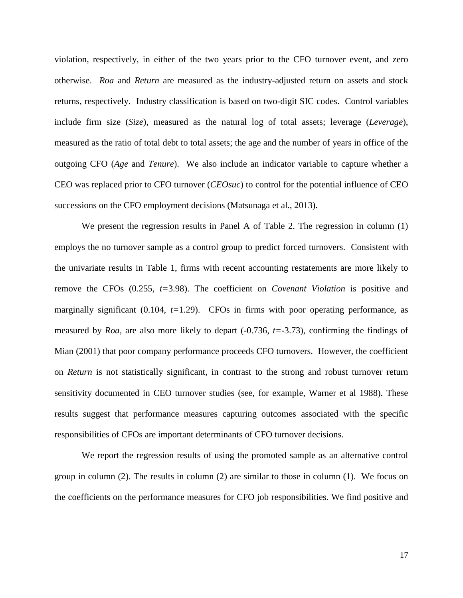violation, respectively, in either of the two years prior to the CFO turnover event, and zero otherwise. *Roa* and *Return* are measured as the industry-adjusted return on assets and stock returns, respectively. Industry classification is based on two-digit SIC codes. Control variables include firm size (*Size*), measured as the natural log of total assets; leverage (*Leverage*), measured as the ratio of total debt to total assets; the age and the number of years in office of the outgoing CFO (*Age* and *Tenure*). We also include an indicator variable to capture whether a CEO was replaced prior to CFO turnover (*CEOsuc*) to control for the potential influence of CEO successions on the CFO employment decisions (Matsunaga et al., 2013).

We present the regression results in Panel A of Table 2. The regression in column (1) employs the no turnover sample as a control group to predict forced turnovers. Consistent with the univariate results in Table 1, firms with recent accounting restatements are more likely to remove the CFOs (0.255, *t=*3.98). The coefficient on *Covenant Violation* is positive and marginally significant (0.104, *t=*1.29). CFOs in firms with poor operating performance, as measured by *Roa,* are also more likely to depart (-0.736, *t=*-3.73), confirming the findings of Mian (2001) that poor company performance proceeds CFO turnovers. However, the coefficient on *Return* is not statistically significant, in contrast to the strong and robust turnover return sensitivity documented in CEO turnover studies (see, for example, Warner et al 1988). These results suggest that performance measures capturing outcomes associated with the specific responsibilities of CFOs are important determinants of CFO turnover decisions.

We report the regression results of using the promoted sample as an alternative control group in column (2). The results in column (2) are similar to those in column (1). We focus on the coefficients on the performance measures for CFO job responsibilities. We find positive and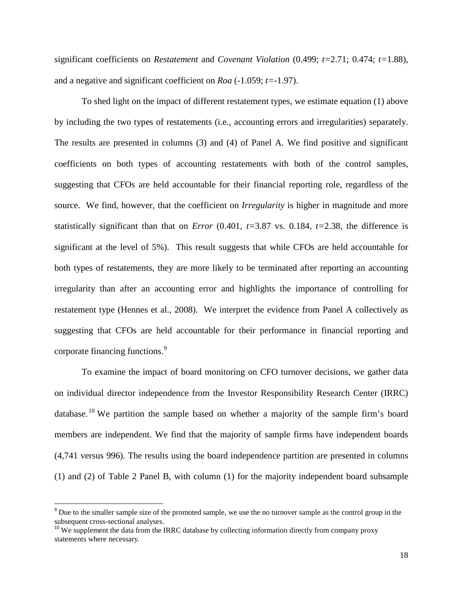significant coefficients on *Restatement* and *Covenant Violation* (0.499; *t=*2.71; 0.474; *t=*1.88), and a negative and significant coefficient on *Roa* (-1.059; *t=*-1.97).

To shed light on the impact of different restatement types, we estimate equation (1) above by including the two types of restatements (i.e., accounting errors and irregularities) separately. The results are presented in columns (3) and (4) of Panel A. We find positive and significant coefficients on both types of accounting restatements with both of the control samples, suggesting that CFOs are held accountable for their financial reporting role, regardless of the source. We find, however, that the coefficient on *Irregularity* is higher in magnitude and more statistically significant than that on *Error* (0.401,  $t=3.87$  vs. 0.184,  $t=2.38$ , the difference is significant at the level of 5%). This result suggests that while CFOs are held accountable for both types of restatements, they are more likely to be terminated after reporting an accounting irregularity than after an accounting error and highlights the importance of controlling for restatement type (Hennes et al., 2008). We interpret the evidence from Panel A collectively as suggesting that CFOs are held accountable for their performance in financial reporting and corporate financing functions.<sup>[9](#page-18-0)</sup>

To examine the impact of board monitoring on CFO turnover decisions, we gather data on individual director independence from the Investor Responsibility Research Center (IRRC) database.<sup>[10](#page-18-1)</sup> We partition the sample based on whether a majority of the sample firm's board members are independent. We find that the majority of sample firms have independent boards (4,741 versus 996). The results using the board independence partition are presented in columns (1) and (2) of Table 2 Panel B, with column (1) for the majority independent board subsample

l

<span id="page-18-0"></span><sup>&</sup>lt;sup>9</sup> Due to the smaller sample size of the promoted sample, we use the no turnover sample as the control group in the subsequent cross-sectional analyses.<br><sup>10</sup> We supplement the data from the IRRC database by collecting information directly from company proxy

<span id="page-18-1"></span>statements where necessary.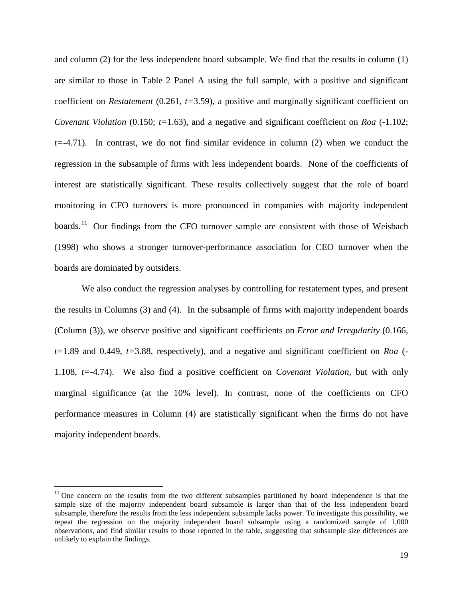and column (2) for the less independent board subsample. We find that the results in column (1) are similar to those in Table 2 Panel A using the full sample, with a positive and significant coefficient on *Restatement* (0.261, *t=*3.59), a positive and marginally significant coefficient on *Covenant Violation* (0.150;  $t=1.63$ ), and a negative and significant coefficient on *Roa* (-1.102; *t=*-4.71). In contrast, we do not find similar evidence in column (2) when we conduct the regression in the subsample of firms with less independent boards. None of the coefficients of interest are statistically significant. These results collectively suggest that the role of board monitoring in CFO turnovers is more pronounced in companies with majority independent boards.<sup>11</sup> Our findings from the CFO turnover sample are consistent with those of Weisbach (1998) who shows a stronger turnover-performance association for CEO turnover when the boards are dominated by outsiders.

We also conduct the regression analyses by controlling for restatement types, and present the results in Columns (3) and (4). In the subsample of firms with majority independent boards (Column (3)), we observe positive and significant coefficients on *Error and Irregularity* (0.166, *t=*1.89 and 0.449, *t=*3.88, respectively), and a negative and significant coefficient on *Roa* (- 1.108, *t=*-4.74). We also find a positive coefficient on *Covenant Violation*, but with only marginal significance (at the 10% level). In contrast, none of the coefficients on CFO performance measures in Column (4) are statistically significant when the firms do not have majority independent boards.

 $\overline{\phantom{a}}$ 

<span id="page-19-0"></span><sup>&</sup>lt;sup>11</sup> One concern on the results from the two different subsamples partitioned by board independence is that the sample size of the majority independent board subsample is larger than that of the less independent board subsample, therefore the results from the less independent subsample lacks power. To investigate this possibility, we repeat the regression on the majority independent board subsample using a randomized sample of 1,000 observations, and find similar results to those reported in the table, suggesting that subsample size differences are unlikely to explain the findings.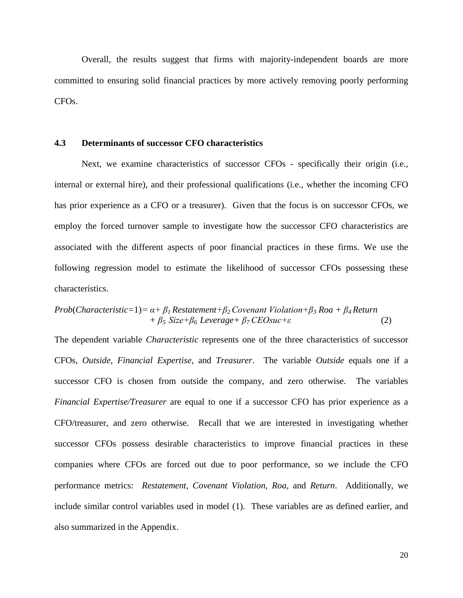Overall, the results suggest that firms with majority-independent boards are more committed to ensuring solid financial practices by more actively removing poorly performing CFOs.

# **4.3 Determinants of successor CFO characteristics**

Next, we examine characteristics of successor CFOs - specifically their origin (i.e., internal or external hire), and their professional qualifications (i.e., whether the incoming CFO has prior experience as a CFO or a treasurer). Given that the focus is on successor CFOs, we employ the forced turnover sample to investigate how the successor CFO characteristics are associated with the different aspects of poor financial practices in these firms. We use the following regression model to estimate the likelihood of successor CFOs possessing these characteristics.

# *Prob*(*Characteristic=*1)*= α+ β1 Restatement+β2 Covenant Violation+β<sup>3</sup> Roa + β4 Return*  $+ \beta_5$  *Size*+ $\beta_6$  *Leverage* +  $\beta_7$  *CEOsuc*+ $\varepsilon$  (2)

The dependent variable *Characteristic* represents one of the three characteristics of successor CFOs, *Outside*, *Financial Expertise*, and *Treasurer*. The variable *Outside* equals one if a successor CFO is chosen from outside the company, and zero otherwise. The variables *Financial Expertise/Treasurer* are equal to one if a successor CFO has prior experience as a CFO/treasurer, and zero otherwise. Recall that we are interested in investigating whether successor CFOs possess desirable characteristics to improve financial practices in these companies where CFOs are forced out due to poor performance, so we include the CFO performance metrics: *Restatement*, *Covenant Violation, Roa,* and *Return*. Additionally, we include similar control variables used in model (1). These variables are as defined earlier, and also summarized in the Appendix.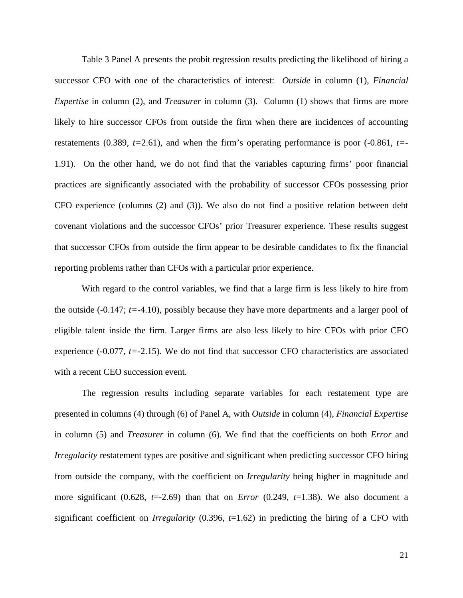Table 3 Panel A presents the probit regression results predicting the likelihood of hiring a successor CFO with one of the characteristics of interest: *Outside* in column (1), *Financial Expertise* in column (2), and *Treasurer* in column (3). Column (1) shows that firms are more likely to hire successor CFOs from outside the firm when there are incidences of accounting restatements (0.389,  $t=2.61$ ), and when the firm's operating performance is poor  $(-0.861, t=$ 1.91). On the other hand, we do not find that the variables capturing firms' poor financial practices are significantly associated with the probability of successor CFOs possessing prior CFO experience (columns (2) and (3)). We also do not find a positive relation between debt covenant violations and the successor CFOs' prior Treasurer experience. These results suggest that successor CFOs from outside the firm appear to be desirable candidates to fix the financial reporting problems rather than CFOs with a particular prior experience.

With regard to the control variables, we find that a large firm is less likely to hire from the outside (-0.147; *t=*-4.10), possibly because they have more departments and a larger pool of eligible talent inside the firm. Larger firms are also less likely to hire CFOs with prior CFO experience (-0.077, *t=-*2.15). We do not find that successor CFO characteristics are associated with a recent CEO succession event.

The regression results including separate variables for each restatement type are presented in columns (4) through (6) of Panel A, with *Outside* in column (4), *Financial Expertise* in column (5) and *Treasurer* in column (6). We find that the coefficients on both *Error* and *Irregularity* restatement types are positive and significant when predicting successor CFO hiring from outside the company, with the coefficient on *Irregularity* being higher in magnitude and more significant (0.628,  $t=2.69$ ) than that on *Error* (0.249,  $t=1.38$ ). We also document a significant coefficient on *Irregularity* (0.396, *t*=1.62) in predicting the hiring of a CFO with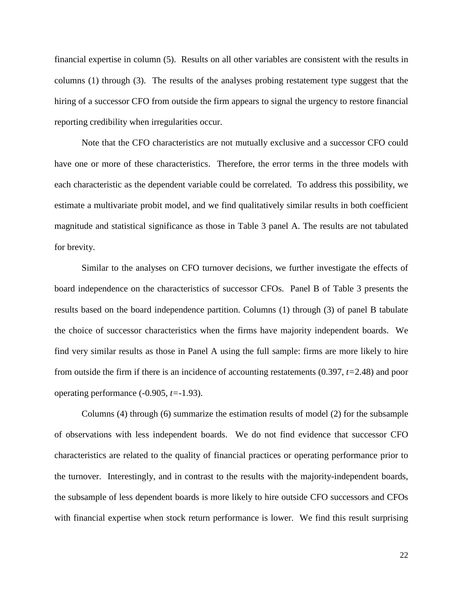financial expertise in column (5). Results on all other variables are consistent with the results in columns (1) through (3). The results of the analyses probing restatement type suggest that the hiring of a successor CFO from outside the firm appears to signal the urgency to restore financial reporting credibility when irregularities occur.

Note that the CFO characteristics are not mutually exclusive and a successor CFO could have one or more of these characteristics. Therefore, the error terms in the three models with each characteristic as the dependent variable could be correlated. To address this possibility, we estimate a multivariate probit model, and we find qualitatively similar results in both coefficient magnitude and statistical significance as those in Table 3 panel A. The results are not tabulated for brevity.

Similar to the analyses on CFO turnover decisions, we further investigate the effects of board independence on the characteristics of successor CFOs. Panel B of Table 3 presents the results based on the board independence partition. Columns (1) through (3) of panel B tabulate the choice of successor characteristics when the firms have majority independent boards. We find very similar results as those in Panel A using the full sample: firms are more likely to hire from outside the firm if there is an incidence of accounting restatements (0.397, *t=*2.48) and poor operating performance (-0.905, *t=-*1.93).

Columns (4) through (6) summarize the estimation results of model (2) for the subsample of observations with less independent boards. We do not find evidence that successor CFO characteristics are related to the quality of financial practices or operating performance prior to the turnover. Interestingly, and in contrast to the results with the majority-independent boards, the subsample of less dependent boards is more likely to hire outside CFO successors and CFOs with financial expertise when stock return performance is lower. We find this result surprising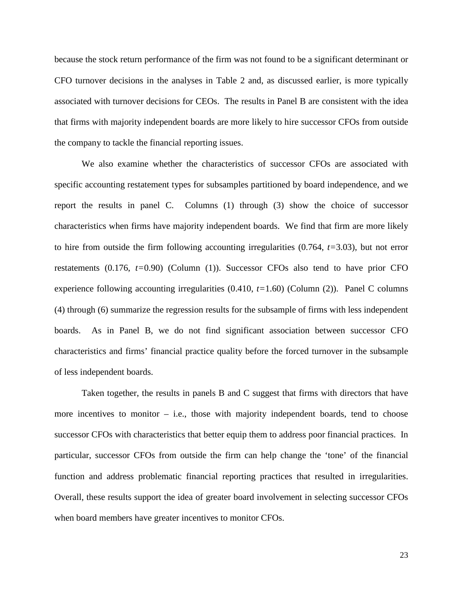because the stock return performance of the firm was not found to be a significant determinant or CFO turnover decisions in the analyses in Table 2 and, as discussed earlier, is more typically associated with turnover decisions for CEOs. The results in Panel B are consistent with the idea that firms with majority independent boards are more likely to hire successor CFOs from outside the company to tackle the financial reporting issues.

We also examine whether the characteristics of successor CFOs are associated with specific accounting restatement types for subsamples partitioned by board independence, and we report the results in panel C. Columns (1) through (3) show the choice of successor characteristics when firms have majority independent boards. We find that firm are more likely to hire from outside the firm following accounting irregularities (0.764, *t=*3.03), but not error restatements (0.176, *t=*0.90) (Column (1)). Successor CFOs also tend to have prior CFO experience following accounting irregularities (0.410, *t=*1.60) (Column (2)). Panel C columns (4) through (6) summarize the regression results for the subsample of firms with less independent boards. As in Panel B, we do not find significant association between successor CFO characteristics and firms' financial practice quality before the forced turnover in the subsample of less independent boards.

Taken together, the results in panels B and C suggest that firms with directors that have more incentives to monitor  $-$  i.e., those with majority independent boards, tend to choose successor CFOs with characteristics that better equip them to address poor financial practices. In particular, successor CFOs from outside the firm can help change the 'tone' of the financial function and address problematic financial reporting practices that resulted in irregularities. Overall, these results support the idea of greater board involvement in selecting successor CFOs when board members have greater incentives to monitor CFOs.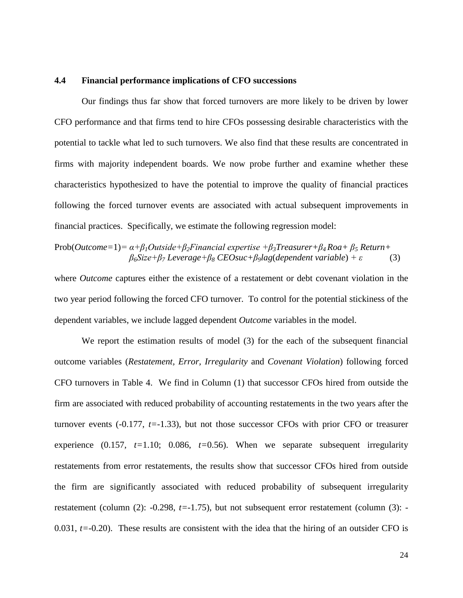## **4.4 Financial performance implications of CFO successions**

Our findings thus far show that forced turnovers are more likely to be driven by lower CFO performance and that firms tend to hire CFOs possessing desirable characteristics with the potential to tackle what led to such turnovers. We also find that these results are concentrated in firms with majority independent boards. We now probe further and examine whether these characteristics hypothesized to have the potential to improve the quality of financial practices following the forced turnover events are associated with actual subsequent improvements in financial practices. Specifically, we estimate the following regression model:

Prob(*Outcome=*1)*= α+β1Outside+β2Financial expertise +β3Treasurer+β4 Roa+ β<sup>5</sup> Return+*  $\beta_6$ Size+ $\beta_7$  *Leverage+* $\beta_8$  *CEOsuc+* $\beta_9$ *lag*(*dependent variable*) +  $\varepsilon$  (3)

where *Outcome* captures either the existence of a restatement or debt covenant violation in the two year period following the forced CFO turnover. To control for the potential stickiness of the dependent variables, we include lagged dependent *Outcome* variables in the model.

We report the estimation results of model (3) for the each of the subsequent financial outcome variables (*Restatement, Error, Irregularity* and *Covenant Violation*) following forced CFO turnovers in Table 4. We find in Column (1) that successor CFOs hired from outside the firm are associated with reduced probability of accounting restatements in the two years after the turnover events  $(-0.177, t=-1.33)$ , but not those successor CFOs with prior CFO or treasurer experience  $(0.157, t=1.10; 0.086, t=0.56)$ . When we separate subsequent irregularity restatements from error restatements, the results show that successor CFOs hired from outside the firm are significantly associated with reduced probability of subsequent irregularity restatement (column (2): -0.298, *t=*-1.75), but not subsequent error restatement (column (3): - 0.031, *t=*-0.20). These results are consistent with the idea that the hiring of an outsider CFO is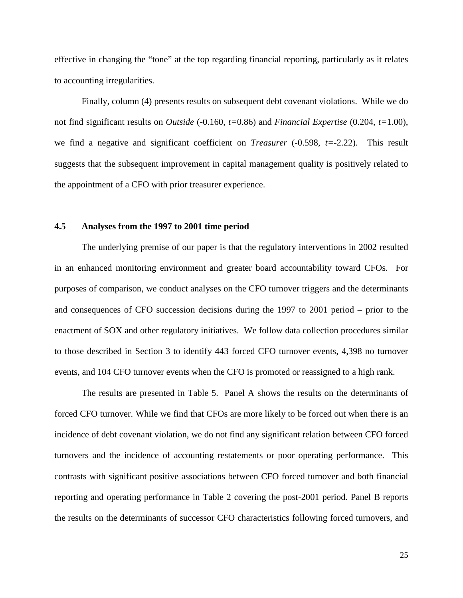effective in changing the "tone" at the top regarding financial reporting, particularly as it relates to accounting irregularities.

Finally, column (4) presents results on subsequent debt covenant violations. While we do not find significant results on *Outside* (-0.160, *t=*0.86) and *Financial Expertise* (0.204, *t=*1.00), we find a negative and significant coefficient on *Treasurer* (-0.598, *t=*-2.22). This result suggests that the subsequent improvement in capital management quality is positively related to the appointment of a CFO with prior treasurer experience.

# **4.5 Analyses from the 1997 to 2001 time period**

The underlying premise of our paper is that the regulatory interventions in 2002 resulted in an enhanced monitoring environment and greater board accountability toward CFOs. For purposes of comparison, we conduct analyses on the CFO turnover triggers and the determinants and consequences of CFO succession decisions during the 1997 to 2001 period – prior to the enactment of SOX and other regulatory initiatives. We follow data collection procedures similar to those described in Section 3 to identify 443 forced CFO turnover events, 4,398 no turnover events, and 104 CFO turnover events when the CFO is promoted or reassigned to a high rank.

The results are presented in Table 5. Panel A shows the results on the determinants of forced CFO turnover. While we find that CFOs are more likely to be forced out when there is an incidence of debt covenant violation, we do not find any significant relation between CFO forced turnovers and the incidence of accounting restatements or poor operating performance. This contrasts with significant positive associations between CFO forced turnover and both financial reporting and operating performance in Table 2 covering the post-2001 period. Panel B reports the results on the determinants of successor CFO characteristics following forced turnovers, and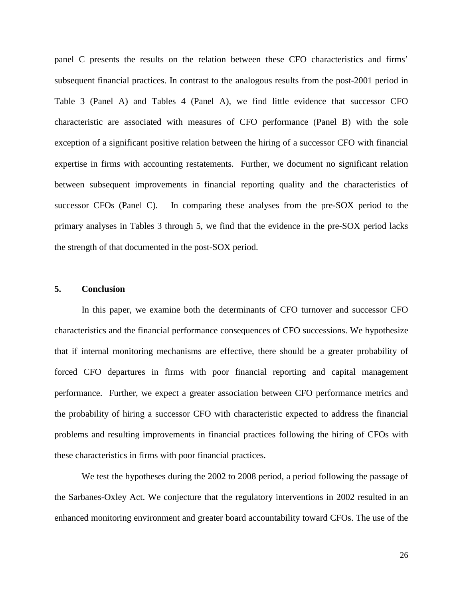panel C presents the results on the relation between these CFO characteristics and firms' subsequent financial practices. In contrast to the analogous results from the post-2001 period in Table 3 (Panel A) and Tables 4 (Panel A), we find little evidence that successor CFO characteristic are associated with measures of CFO performance (Panel B) with the sole exception of a significant positive relation between the hiring of a successor CFO with financial expertise in firms with accounting restatements. Further, we document no significant relation between subsequent improvements in financial reporting quality and the characteristics of successor CFOs (Panel C). In comparing these analyses from the pre-SOX period to the primary analyses in Tables 3 through 5, we find that the evidence in the pre-SOX period lacks the strength of that documented in the post-SOX period.

### **5. Conclusion**

In this paper, we examine both the determinants of CFO turnover and successor CFO characteristics and the financial performance consequences of CFO successions. We hypothesize that if internal monitoring mechanisms are effective, there should be a greater probability of forced CFO departures in firms with poor financial reporting and capital management performance. Further, we expect a greater association between CFO performance metrics and the probability of hiring a successor CFO with characteristic expected to address the financial problems and resulting improvements in financial practices following the hiring of CFOs with these characteristics in firms with poor financial practices.

We test the hypotheses during the 2002 to 2008 period, a period following the passage of the Sarbanes-Oxley Act. We conjecture that the regulatory interventions in 2002 resulted in an enhanced monitoring environment and greater board accountability toward CFOs. The use of the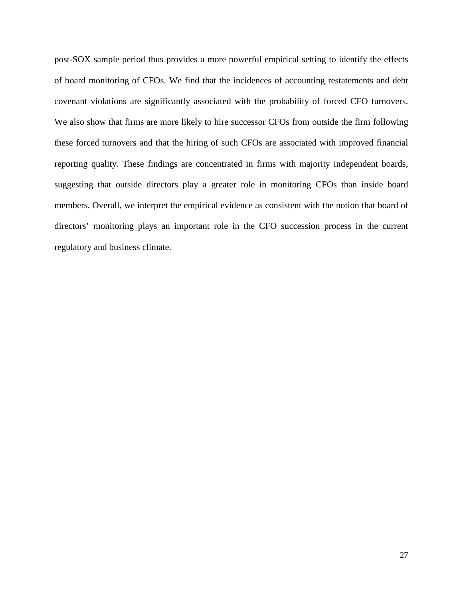post-SOX sample period thus provides a more powerful empirical setting to identify the effects of board monitoring of CFOs. We find that the incidences of accounting restatements and debt covenant violations are significantly associated with the probability of forced CFO turnovers. We also show that firms are more likely to hire successor CFOs from outside the firm following these forced turnovers and that the hiring of such CFOs are associated with improved financial reporting quality. These findings are concentrated in firms with majority independent boards, suggesting that outside directors play a greater role in monitoring CFOs than inside board members. Overall, we interpret the empirical evidence as consistent with the notion that board of directors' monitoring plays an important role in the CFO succession process in the current regulatory and business climate.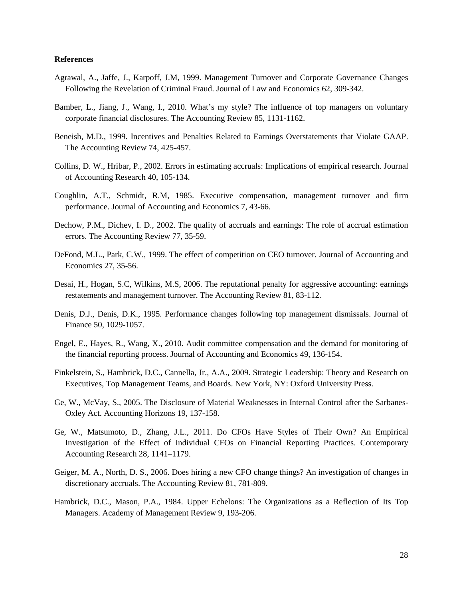### **References**

- Agrawal, A., Jaffe, J., Karpoff, J.M, 1999. Management Turnover and Corporate Governance Changes Following the Revelation of Criminal Fraud. Journal of Law and Economics 62, 309-342.
- Bamber, L., Jiang, J., Wang, I., 2010. What's my style? The influence of top managers on voluntary corporate financial disclosures. The Accounting Review 85, 1131-1162.
- Beneish, M.D., 1999. Incentives and Penalties Related to Earnings Overstatements that Violate GAAP. The Accounting Review 74, 425-457.
- Collins, D. W., Hribar, P., 2002. Errors in estimating accruals: Implications of empirical research. Journal of Accounting Research 40, 105-134.
- Coughlin, A.T., Schmidt, R.M, 1985. Executive compensation, management turnover and firm performance. Journal of Accounting and Economics 7, 43-66.
- Dechow, P.M., Dichev, I. D., 2002. The quality of accruals and earnings: The role of accrual estimation errors. The Accounting Review 77, 35-59.
- DeFond, M.L., Park, C.W., 1999. The effect of competition on CEO turnover. Journal of Accounting and Economics 27, 35-56.
- Desai, H., Hogan, S.C, Wilkins, M.S, 2006. The reputational penalty for aggressive accounting: earnings restatements and management turnover. The Accounting Review 81, 83-112.
- Denis, D.J., Denis, D.K., 1995. Performance changes following top management dismissals. Journal of Finance 50, 1029-1057.
- Engel, E., Hayes, R., Wang, X., 2010. Audit committee compensation and the demand for monitoring of the financial reporting process. Journal of Accounting and Economics 49, 136-154.
- Finkelstein, S., Hambrick, D.C., Cannella, Jr., A.A., 2009. Strategic Leadership: Theory and Research on Executives, Top Management Teams, and Boards. New York, NY: Oxford University Press.
- Ge, W., McVay, S., 2005. The Disclosure of Material Weaknesses in Internal Control after the Sarbanes-Oxley Act. Accounting Horizons 19, 137-158.
- Ge, W., Matsumoto, D., Zhang, J.L., 2011. Do CFOs Have Styles of Their Own? An Empirical Investigation of the Effect of Individual CFOs on Financial Reporting Practices. Contemporary Accounting Research 28, 1141–1179.
- Geiger, M. A., North, D. S., 2006. Does hiring a new CFO change things? An investigation of changes in discretionary accruals. The Accounting Review 81, 781-809.
- Hambrick, D.C., Mason, P.A., 1984. Upper Echelons: The Organizations as a Reflection of Its Top Managers. Academy of Management Review 9, 193-206.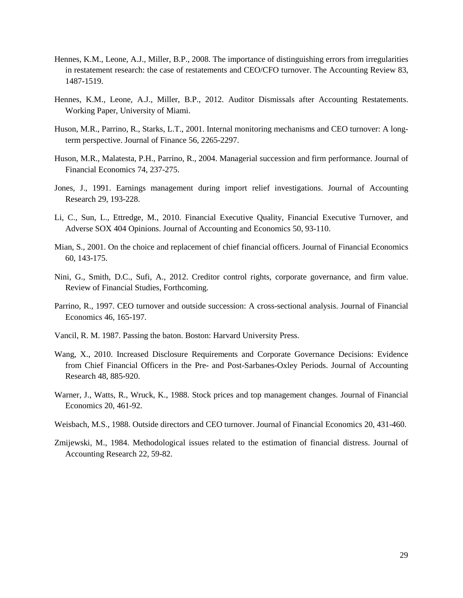- Hennes, K.M., Leone, A.J., Miller, B.P., 2008. The importance of distinguishing errors from irregularities in restatement research: the case of restatements and CEO/CFO turnover. The Accounting Review 83, 1487-1519.
- Hennes, K.M., Leone, A.J., Miller, B.P., 2012. Auditor Dismissals after Accounting Restatements. Working Paper, University of Miami.
- Huson, M.R., Parrino, R., Starks, L.T., 2001. Internal monitoring mechanisms and CEO turnover: A longterm perspective. Journal of Finance 56, 2265-2297.
- Huson, M.R., Malatesta, P.H., Parrino, R., 2004. Managerial succession and firm performance. Journal of Financial Economics 74, 237-275.
- Jones, J., 1991. Earnings management during import relief investigations. Journal of Accounting Research 29, 193-228.
- Li, C., Sun, L., Ettredge, M., 2010. Financial Executive Quality, Financial Executive Turnover, and Adverse SOX 404 Opinions. Journal of Accounting and Economics 50, 93-110.
- Mian, S., 2001. On the choice and replacement of chief financial officers. Journal of Financial Economics 60, 143-175.
- Nini, G., Smith, D.C., Sufi, A., 2012. Creditor control rights, corporate governance, and firm value. Review of Financial Studies, Forthcoming.
- Parrino, R., 1997. CEO turnover and outside succession: A cross-sectional analysis. Journal of Financial Economics 46, 165-197.
- Vancil, R. M. 1987. Passing the baton. Boston: Harvard University Press.
- Wang, X., 2010. Increased Disclosure Requirements and Corporate Governance Decisions: Evidence from Chief Financial Officers in the Pre- and Post-Sarbanes-Oxley Periods. Journal of Accounting Research 48, 885-920.
- Warner, J., Watts, R., Wruck, K., 1988. Stock prices and top management changes. Journal of Financial Economics 20, 461-92.
- Weisbach, M.S., 1988. Outside directors and CEO turnover. Journal of Financial Economics 20, 431-460.
- Zmijewski, M., 1984. Methodological issues related to the estimation of financial distress. Journal of Accounting Research 22, 59-82.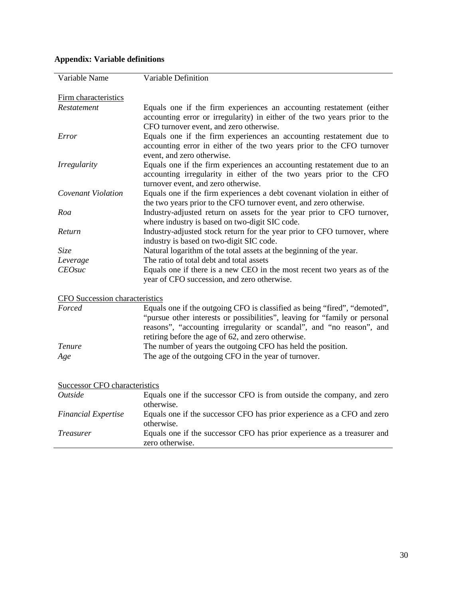| Variable Name                         | Variable Definition                                                         |
|---------------------------------------|-----------------------------------------------------------------------------|
|                                       |                                                                             |
| Firm characteristics                  |                                                                             |
| Restatement                           | Equals one if the firm experiences an accounting restatement (either        |
|                                       | accounting error or irregularity) in either of the two years prior to the   |
|                                       | CFO turnover event, and zero otherwise.                                     |
| Error                                 | Equals one if the firm experiences an accounting restatement due to         |
|                                       | accounting error in either of the two years prior to the CFO turnover       |
|                                       | event, and zero otherwise.                                                  |
| <i>Irregularity</i>                   | Equals one if the firm experiences an accounting restatement due to an      |
|                                       | accounting irregularity in either of the two years prior to the CFO         |
|                                       | turnover event, and zero otherwise.                                         |
| Covenant Violation                    | Equals one if the firm experiences a debt covenant violation in either of   |
|                                       | the two years prior to the CFO turnover event, and zero otherwise.          |
| Roa                                   | Industry-adjusted return on assets for the year prior to CFO turnover,      |
|                                       | where industry is based on two-digit SIC code.                              |
| Return                                | Industry-adjusted stock return for the year prior to CFO turnover, where    |
|                                       | industry is based on two-digit SIC code.                                    |
| Size                                  | Natural logarithm of the total assets at the beginning of the year.         |
| Leverage                              | The ratio of total debt and total assets                                    |
| <b>CEOsuc</b>                         | Equals one if there is a new CEO in the most recent two years as of the     |
|                                       | year of CFO succession, and zero otherwise.                                 |
| <b>CFO</b> Succession characteristics |                                                                             |
| Forced                                | Equals one if the outgoing CFO is classified as being "fired", "demoted",   |
|                                       | "pursue other interests or possibilities", leaving for "family or personal" |
|                                       | reasons", "accounting irregularity or scandal", and "no reason", and        |
|                                       | retiring before the age of 62, and zero otherwise.                          |
| <b>Tenure</b>                         | The number of years the outgoing CFO has held the position.                 |
| Age                                   | The age of the outgoing CFO in the year of turnover.                        |
|                                       |                                                                             |
| Successor CFO characteristics         |                                                                             |
| Outside                               | Equals one if the successor CFO is from outside the company, and zero       |
|                                       | otherwise.                                                                  |
| <b>Financial Expertise</b>            | Equals one if the successor CFO has prior experience as a CFO and zero      |

*Treasurer* Equals one if the successor CFO has prior experience as a treasurer and

otherwise.

zero otherwise.

# **Appendix: Variable definitions**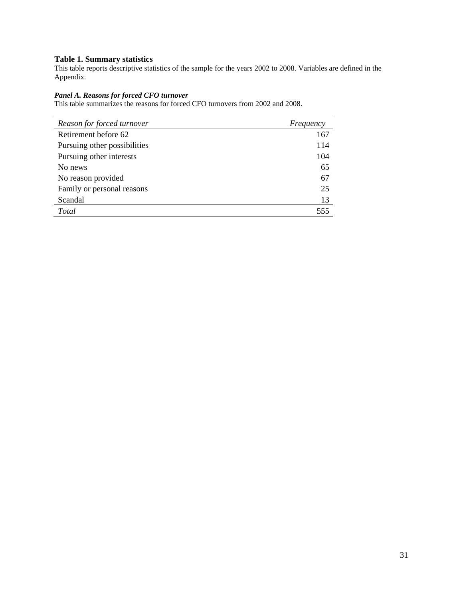### **Table 1. Summary statistics**

This table reports descriptive statistics of the sample for the years 2002 to 2008. Variables are defined in the Appendix.

### *Panel A. Reasons for forced CFO turnover*

This table summarizes the reasons for forced CFO turnovers from 2002 and 2008.

| Reason for forced turnover   | Frequency |
|------------------------------|-----------|
| Retirement before 62         | 167       |
| Pursuing other possibilities | 114       |
| Pursuing other interests     | 104       |
| No news                      | 65        |
| No reason provided           | 67        |
| Family or personal reasons   | 25        |
| Scandal                      | 13        |
| Total                        | 555       |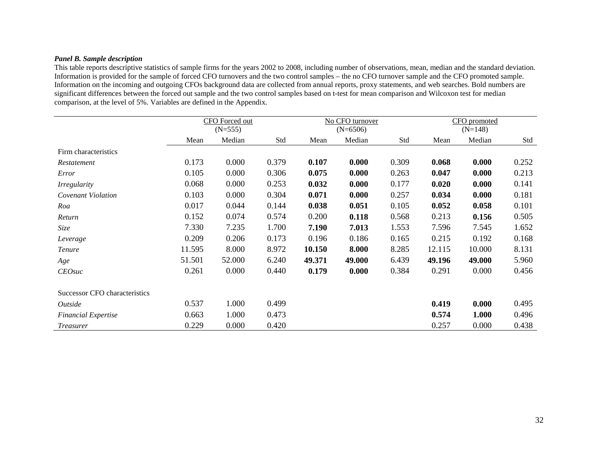### *Panel B. Sample description*

This table reports descriptive statistics of sample firms for the years 2002 to 2008, including number of observations, mean, median and the standard deviation. Information is provided for the sample of forced CFO turnovers and the two control samples – the no CFO turnover sample and the CFO promoted sample. Information on the incoming and outgoing CFOs background data are collected from annual reports, proxy statements, and web searches. Bold numbers are significant differences between the forced out sample and the two control samples based on t-test for mean comparison and Wilcoxon test for median comparison, at the level of 5%. Variables are defined in the Appendix.

|                               |        | CFO Forced out |       |        | No CFO turnover |       |        | CFO promoted |       |
|-------------------------------|--------|----------------|-------|--------|-----------------|-------|--------|--------------|-------|
|                               |        | $(N=555)$      |       |        | $(N=6506)$      |       |        | $(N=148)$    |       |
|                               | Mean   | Median         | Std   | Mean   | Median          | Std   | Mean   | Median       | Std   |
| Firm characteristics          |        |                |       |        |                 |       |        |              |       |
| Restatement                   | 0.173  | 0.000          | 0.379 | 0.107  | 0.000           | 0.309 | 0.068  | 0.000        | 0.252 |
| Error                         | 0.105  | 0.000          | 0.306 | 0.075  | 0.000           | 0.263 | 0.047  | 0.000        | 0.213 |
| <i>Irregularity</i>           | 0.068  | 0.000          | 0.253 | 0.032  | 0.000           | 0.177 | 0.020  | 0.000        | 0.141 |
| Covenant Violation            | 0.103  | 0.000          | 0.304 | 0.071  | 0.000           | 0.257 | 0.034  | 0.000        | 0.181 |
| Roa                           | 0.017  | 0.044          | 0.144 | 0.038  | 0.051           | 0.105 | 0.052  | 0.058        | 0.101 |
| Return                        | 0.152  | 0.074          | 0.574 | 0.200  | 0.118           | 0.568 | 0.213  | 0.156        | 0.505 |
| Size                          | 7.330  | 7.235          | 1.700 | 7.190  | 7.013           | 1.553 | 7.596  | 7.545        | 1.652 |
| Leverage                      | 0.209  | 0.206          | 0.173 | 0.196  | 0.186           | 0.165 | 0.215  | 0.192        | 0.168 |
| Tenure                        | 11.595 | 8.000          | 8.972 | 10.150 | 8.000           | 8.285 | 12.115 | 10.000       | 8.131 |
| Age                           | 51.501 | 52.000         | 6.240 | 49.371 | 49.000          | 6.439 | 49.196 | 49.000       | 5.960 |
| <b>CEOsuc</b>                 | 0.261  | 0.000          | 0.440 | 0.179  | 0.000           | 0.384 | 0.291  | 0.000        | 0.456 |
| Successor CFO characteristics |        |                |       |        |                 |       |        |              |       |
| Outside                       | 0.537  | 1.000          | 0.499 |        |                 |       | 0.419  | 0.000        | 0.495 |
| <b>Financial Expertise</b>    | 0.663  | 1.000          | 0.473 |        |                 |       | 0.574  | 1.000        | 0.496 |
| <i>Treasurer</i>              | 0.229  | 0.000          | 0.420 |        |                 |       | 0.257  | 0.000        | 0.438 |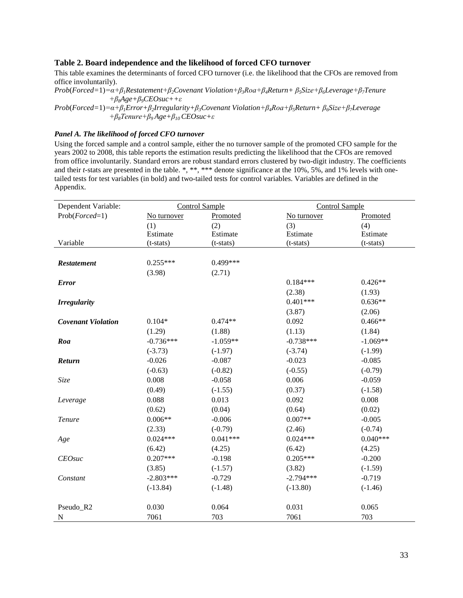### **Table 2. Board independence and the likelihood of forced CFO turnover**

This table examines the determinants of forced CFO turnover (i.e. the likelihood that the CFOs are removed from office involuntarily).

*Prob*(*Forced=*1)*=α+β1Restatement+β2Covenant Violation+β3Roa+β4Return+ β5Size+β6Leverage+β7Tenure +β8Age+β9CEOsuc++ε*

```
Prob(Forced=1)=α+β1Error+β2Irregularity+β3Covenant Violation+β4Roa+β5Return+ β6Size+β7Leverage 
     +β8Tenure+β9 Age+β10 CEOsuc+ε
```
### *Panel A. The likelihood of forced CFO turnover*

Using the forced sample and a control sample, either the no turnover sample of the promoted CFO sample for the years 2002 to 2008, this table reports the estimation results predicting the likelihood that the CFOs are removed from office involuntarily. Standard errors are robust standard errors clustered by two-digit industry. The coefficients and their *t*-stats are presented in the table. \*, \*\*, \*\*\* denote significance at the 10%, 5%, and 1% levels with onetailed tests for test variables (in bold) and two-tailed tests for control variables. Variables are defined in the Appendix.

| Dependent Variable:       | <b>Control Sample</b> |             | <b>Control Sample</b> |             |
|---------------------------|-----------------------|-------------|-----------------------|-------------|
| $Prob(Fored=1)$           | No turnover           | Promoted    | No turnover           | Promoted    |
|                           | (1)                   | (2)         | (3)                   | (4)         |
|                           | Estimate              | Estimate    | Estimate              | Estimate    |
| Variable                  | (t-stats)             | $(t-stats)$ | $(t-stats)$           | $(t-stats)$ |
|                           |                       |             |                       |             |
| <b>Restatement</b>        | $0.255***$            | $0.499***$  |                       |             |
|                           | (3.98)                | (2.71)      |                       |             |
| <b>Error</b>              |                       |             | $0.184***$            | $0.426**$   |
|                           |                       |             | (2.38)                | (1.93)      |
| <b>Irregularity</b>       |                       |             | $0.401***$            | $0.636**$   |
|                           |                       |             | (3.87)                | (2.06)      |
| <b>Covenant Violation</b> | $0.104*$              | $0.474**$   | 0.092                 | $0.466**$   |
|                           | (1.29)                | (1.88)      | (1.13)                | (1.84)      |
| Roa                       | $-0.736***$           | $-1.059**$  | $-0.738***$           | $-1.069**$  |
|                           | $(-3.73)$             | $(-1.97)$   | $(-3.74)$             | $(-1.99)$   |
| Return                    | $-0.026$              | $-0.087$    | $-0.023$              | $-0.085$    |
|                           | $(-0.63)$             | $(-0.82)$   | $(-0.55)$             | $(-0.79)$   |
| Size                      | 0.008                 | $-0.058$    | 0.006                 | $-0.059$    |
|                           | (0.49)                | $(-1.55)$   | (0.37)                | $(-1.58)$   |
| Leverage                  | 0.088                 | 0.013       | 0.092                 | 0.008       |
|                           | (0.62)                | (0.04)      | (0.64)                | (0.02)      |
| <b>Tenure</b>             | $0.006**$             | $-0.006$    | $0.007**$             | $-0.005$    |
|                           | (2.33)                | $(-0.79)$   | (2.46)                | $(-0.74)$   |
| Age                       | $0.024***$            | $0.041***$  | $0.024***$            | $0.040***$  |
|                           | (6.42)                | (4.25)      | (6.42)                | (4.25)      |
| <b>CEOsuc</b>             | $0.207***$            | $-0.198$    | $0.205***$            | $-0.200$    |
|                           | (3.85)                | $(-1.57)$   | (3.82)                | $(-1.59)$   |
| Constant                  | $-2.803***$           | $-0.729$    | $-2.794***$           | $-0.719$    |
|                           | $(-13.84)$            | $(-1.48)$   | $(-13.80)$            | $(-1.46)$   |
|                           |                       |             |                       |             |
| Pseudo_R2                 | 0.030                 | 0.064       | 0.031                 | 0.065       |
| N                         | 7061                  | 703         | 7061                  | 703         |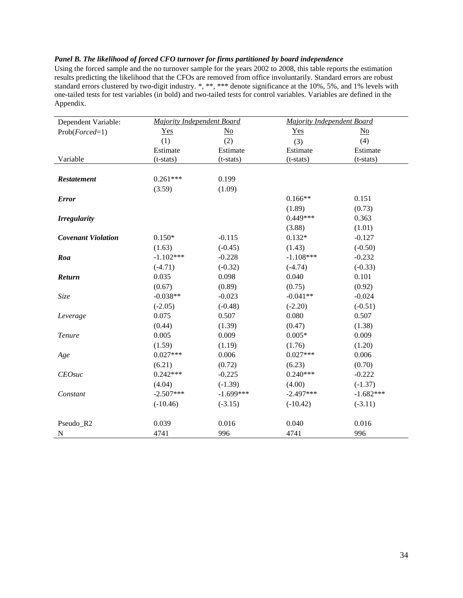### *Panel B. The likelihood of forced CFO turnover for firms partitioned by board independence*

Using the forced sample and the no turnover sample for the years 2002 to 2008, this table reports the estimation results predicting the likelihood that the CFOs are removed from office involuntarily. Standard errors are robust standard errors clustered by two-digit industry. \*, \*\*, \*\*\* denote significance at the 10%, 5%, and 1% levels with one-tailed tests for test variables (in bold) and two-tailed tests for control variables. Variables are defined in the Appendix.

| Dependent Variable:       | Majority Independent Board |             | <b>Majority Independent Board</b> |             |
|---------------------------|----------------------------|-------------|-----------------------------------|-------------|
| $Prob(Fored=1)$           | Yes                        | No          | Yes                               | No          |
|                           | (1)                        | (2)         | (3)                               | (4)         |
|                           | Estimate                   | Estimate    | Estimate                          | Estimate    |
| Variable                  | $(t-stats)$                | (t-stats)   | $(t-stats)$                       | $(t-stats)$ |
|                           |                            |             |                                   |             |
| <b>Restatement</b>        | $0.261***$                 | 0.199       |                                   |             |
|                           | (3.59)                     | (1.09)      |                                   |             |
| <b>Error</b>              |                            |             | $0.166**$                         | 0.151       |
|                           |                            |             | (1.89)                            | (0.73)      |
| <b>Irregularity</b>       |                            |             | $0.449***$                        | 0.363       |
|                           |                            |             | (3.88)                            | (1.01)      |
| <b>Covenant Violation</b> | $0.150*$                   | $-0.115$    | $0.132*$                          | $-0.127$    |
|                           | (1.63)                     | $(-0.45)$   | (1.43)                            | $(-0.50)$   |
| Roa                       | $-1.102***$                | $-0.228$    | $-1.108***$                       | $-0.232$    |
|                           | $(-4.71)$                  | $(-0.32)$   | $(-4.74)$                         | $(-0.33)$   |
| <b>Return</b>             | 0.035                      | 0.098       | 0.040                             | 0.101       |
|                           | (0.67)                     | (0.89)      | (0.75)                            | (0.92)      |
| Size                      | $-0.038**$                 | $-0.023$    | $-0.041**$                        | $-0.024$    |
|                           | $(-2.05)$                  | $(-0.48)$   | $(-2.20)$                         | $(-0.51)$   |
| Leverage                  | 0.075                      | 0.507       | 0.080                             | 0.507       |
|                           | (0.44)                     | (1.39)      | (0.47)                            | (1.38)      |
| <b>Tenure</b>             | 0.005                      | 0.009       | $0.005*$                          | 0.009       |
|                           | (1.59)                     | (1.19)      | (1.76)                            | (1.20)      |
| Age                       | $0.027***$                 | 0.006       | $0.027***$                        | 0.006       |
|                           | (6.21)                     | (0.72)      | (6.23)                            | (0.70)      |
| <b>CEOsuc</b>             | $0.242***$                 | $-0.225$    | $0.240***$                        | $-0.222$    |
|                           | (4.04)                     | $(-1.39)$   | (4.00)                            | $(-1.37)$   |
| Constant                  | $-2.507***$                | $-1.699***$ | $-2.497***$                       | $-1.682***$ |
|                           | $(-10.46)$                 | $(-3.15)$   | $(-10.42)$                        | $(-3.11)$   |
| Pseudo_R2                 | 0.039                      | 0.016       | 0.040                             | 0.016       |
| N                         | 4741                       | 996         | 4741                              | 996         |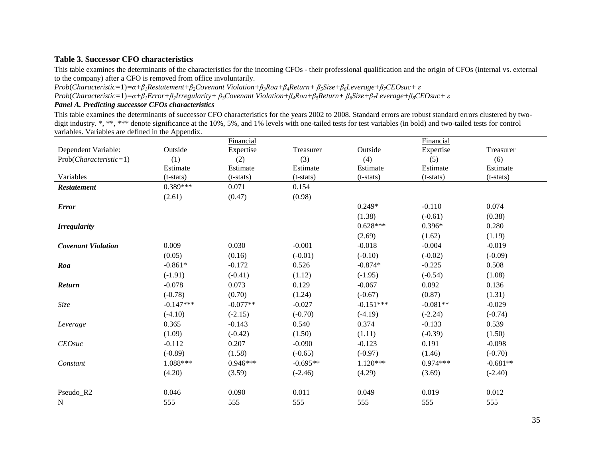### **Table 3. Successor CFO characteristics**

This table examines the determinants of the characteristics for the incoming CFOs - their professional qualification and the origin of CFOs (internal vs. external to the company) after a CFO is removed from office involuntarily.

*Prob*(*Characteristic=*1)*=α+β1Restatement+β2Covenant Violation+β3Roa+β4Return+ β5Size+β6Leverage+β7CEOsuc+ ε* Prob(Characteristic=1)= $\alpha+\beta_1Error+\beta_2Irregularity+\beta_3Coven$  Violation+ $\beta_4Roa+\beta_5Return+\beta_6Size+\beta_7Leverage+\beta_8CEO$  suc +  $\varepsilon$ 

### *Panel A. Predicting successor CFOs characteristics*

This table examines the determinants of successor CFO characteristics for the years 2002 to 2008. Standard errors are robust standard errors clustered by twodigit industry. \*, \*\*, \*\*\* denote significance at the 10%, 5%, and 1% levels with one-tailed tests for test variables (in bold) and two-tailed tests for control variables. Variables are defined in the Appendix.

|                           |             | Financial   |             |             | Financial   |             |
|---------------------------|-------------|-------------|-------------|-------------|-------------|-------------|
| Dependent Variable:       | Outside     | Expertise   | Treasurer   | Outside     | Expertise   | Treasurer   |
| $Prob(Characteristic=1)$  | (1)         | (2)         | (3)         | (4)         | (5)         | (6)         |
|                           | Estimate    | Estimate    | Estimate    | Estimate    | Estimate    | Estimate    |
| Variables                 | $(t-stats)$ | $(t-stats)$ | $(t-stats)$ | $(t-stats)$ | $(t-stats)$ | $(t-stats)$ |
| <b>Restatement</b>        | $0.389***$  | 0.071       | 0.154       |             |             |             |
|                           | (2.61)      | (0.47)      | (0.98)      |             |             |             |
| <b>Error</b>              |             |             |             | $0.249*$    | $-0.110$    | 0.074       |
|                           |             |             |             | (1.38)      | $(-0.61)$   | (0.38)      |
| <b>Irregularity</b>       |             |             |             | $0.628***$  | $0.396*$    | 0.280       |
|                           |             |             |             | (2.69)      | (1.62)      | (1.19)      |
| <b>Covenant Violation</b> | 0.009       | 0.030       | $-0.001$    | $-0.018$    | $-0.004$    | $-0.019$    |
|                           | (0.05)      | (0.16)      | $(-0.01)$   | $(-0.10)$   | $(-0.02)$   | $(-0.09)$   |
| Roa                       | $-0.861*$   | $-0.172$    | 0.526       | $-0.874*$   | $-0.225$    | 0.508       |
|                           | $(-1.91)$   | $(-0.41)$   | (1.12)      | $(-1.95)$   | $(-0.54)$   | (1.08)      |
| Return                    | $-0.078$    | 0.073       | 0.129       | $-0.067$    | 0.092       | 0.136       |
|                           | $(-0.78)$   | (0.70)      | (1.24)      | $(-0.67)$   | (0.87)      | (1.31)      |
| Size                      | $-0.147***$ | $-0.077**$  | $-0.027$    | $-0.151***$ | $-0.081**$  | $-0.029$    |
|                           | $(-4.10)$   | $(-2.15)$   | $(-0.70)$   | $(-4.19)$   | $(-2.24)$   | $(-0.74)$   |
| Leverage                  | 0.365       | $-0.143$    | 0.540       | 0.374       | $-0.133$    | 0.539       |
|                           | (1.09)      | $(-0.42)$   | (1.50)      | (1.11)      | $(-0.39)$   | (1.50)      |
| <b>CEOsuc</b>             | $-0.112$    | 0.207       | $-0.090$    | $-0.123$    | 0.191       | $-0.098$    |
|                           | $(-0.89)$   | (1.58)      | $(-0.65)$   | $(-0.97)$   | (1.46)      | $(-0.70)$   |
| Constant                  | 1.088***    | $0.946***$  | $-0.695**$  | $1.120***$  | $0.974***$  | $-0.681**$  |
|                           | (4.20)      | (3.59)      | $(-2.46)$   | (4.29)      | (3.69)      | $(-2.40)$   |
|                           |             |             |             |             |             |             |
| Pseudo_R2                 | 0.046       | 0.090       | 0.011       | 0.049       | 0.019       | 0.012       |
| N                         | 555         | 555         | 555         | 555         | 555         | 555         |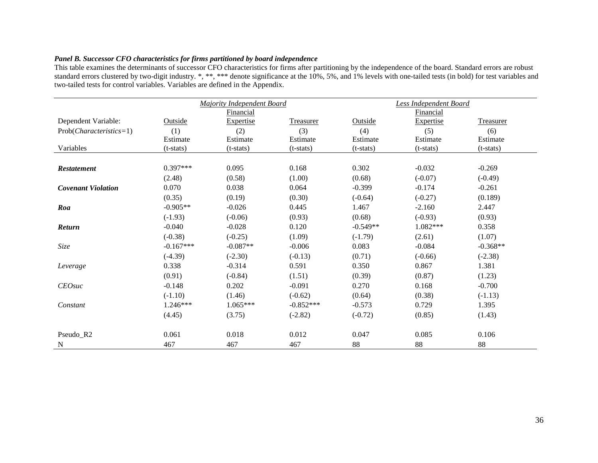## *Panel B. Successor CFO characteristics for firms partitioned by board independence*

This table examines the determinants of successor CFO characteristics for firms after partitioning by the independence of the board. Standard errors are robust standard errors clustered by two-digit industry. \*, \*\*, \*\*\* denote significance at the 10%, 5%, and 1% levels with one-tailed tests (in bold) for test variables and two-tailed tests for control variables. Variables are defined in the Appendix.

|                           |             | <b>Majority Independent Board</b> |             |             | <b>Less Independent Board</b> |                  |
|---------------------------|-------------|-----------------------------------|-------------|-------------|-------------------------------|------------------|
|                           |             | Financial                         |             |             | Financial                     |                  |
| Dependent Variable:       | Outside     | <b>Expertise</b>                  | Treasurer   | Outside     | <b>Expertise</b>              | <b>Treasurer</b> |
| $Prob(Characteristics=1)$ | (1)         | (2)                               | (3)         | (4)         | (5)                           | (6)              |
|                           | Estimate    | Estimate                          | Estimate    | Estimate    | Estimate                      | Estimate         |
| Variables                 | $(t-stats)$ | (t-stats)                         | $(t-stats)$ | $(t-stats)$ | $(t-stats)$                   | $(t-stats)$      |
|                           |             |                                   |             |             |                               |                  |
| <b>Restatement</b>        | $0.397***$  | 0.095                             | 0.168       | 0.302       | $-0.032$                      | $-0.269$         |
|                           | (2.48)      | (0.58)                            | (1.00)      | (0.68)      | $(-0.07)$                     | $(-0.49)$        |
| <b>Covenant Violation</b> | 0.070       | 0.038                             | 0.064       | $-0.399$    | $-0.174$                      | $-0.261$         |
|                           | (0.35)      | (0.19)                            | (0.30)      | $(-0.64)$   | $(-0.27)$                     | (0.189)          |
| Roa                       | $-0.905**$  | $-0.026$                          | 0.445       | 1.467       | $-2.160$                      | 2.447            |
|                           | $(-1.93)$   | $(-0.06)$                         | (0.93)      | (0.68)      | $(-0.93)$                     | (0.93)           |
| Return                    | $-0.040$    | $-0.028$                          | 0.120       | $-0.549**$  | $1.082***$                    | 0.358            |
|                           | $(-0.38)$   | $(-0.25)$                         | (1.09)      | $(-1.79)$   | (2.61)                        | (1.07)           |
| Size                      | $-0.167***$ | $-0.087**$                        | $-0.006$    | 0.083       | $-0.084$                      | $-0.368**$       |
|                           | $(-4.39)$   | $(-2.30)$                         | $(-0.13)$   | (0.71)      | $(-0.66)$                     | $(-2.38)$        |
| Leverage                  | 0.338       | $-0.314$                          | 0.591       | 0.350       | 0.867                         | 1.381            |
|                           | (0.91)      | $(-0.84)$                         | (1.51)      | (0.39)      | (0.87)                        | (1.23)           |
| <b>CEOsuc</b>             | $-0.148$    | 0.202                             | $-0.091$    | 0.270       | 0.168                         | $-0.700$         |
|                           | $(-1.10)$   | (1.46)                            | $(-0.62)$   | (0.64)      | (0.38)                        | $(-1.13)$        |
| Constant                  | $1.246***$  | $1.065***$                        | $-0.852***$ | $-0.573$    | 0.729                         | 1.395            |
|                           | (4.45)      | (3.75)                            | $(-2.82)$   | $(-0.72)$   | (0.85)                        | (1.43)           |
|                           |             |                                   |             |             |                               |                  |
| Pseudo_R2                 | 0.061       | 0.018                             | 0.012       | 0.047       | 0.085                         | 0.106            |
| N                         | 467         | 467                               | 467         | 88          | 88                            | 88               |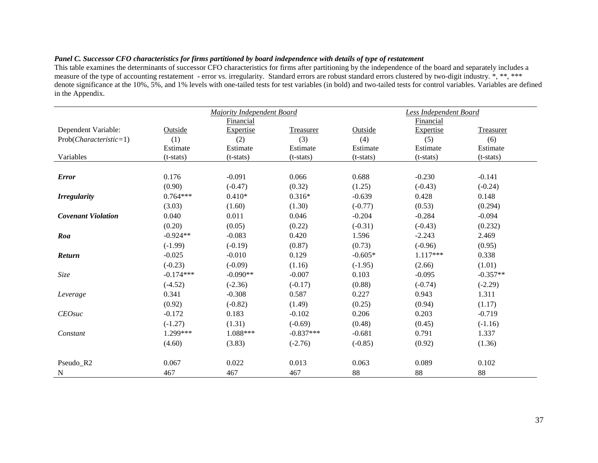### *Panel C. Successor CFO characteristics for firms partitioned by board independence with details of type of restatement*

This table examines the determinants of successor CFO characteristics for firms after partitioning by the independence of the board and separately includes a measure of the type of accounting restatement - error vs. irregularity. Standard errors are robust standard errors clustered by two-digit industry. \*, \*\*, \*\*\* denote significance at the 10%, 5%, and 1% levels with one-tailed tests for test variables (in bold) and two-tailed tests for control variables. Variables are defined in the Appendix.

|                           | <b>Majority Independent Board</b> |             |             |             | <b>Less Independent Board</b> |                  |
|---------------------------|-----------------------------------|-------------|-------------|-------------|-------------------------------|------------------|
|                           |                                   | Financial   |             |             | Financial                     |                  |
| Dependent Variable:       | Outside                           | Expertise   | Treasurer   | Outside     | Expertise                     | <b>Treasurer</b> |
| $Prob(Characteristic=1)$  | (1)                               | (2)         | (3)         | (4)         | (5)                           | (6)              |
|                           | Estimate                          | Estimate    | Estimate    | Estimate    | Estimate                      | Estimate         |
| Variables                 | $(t-stats)$                       | $(t-stats)$ | $(t-stats)$ | $(t-stats)$ | $(t-stats)$                   | $(t-stats)$      |
|                           |                                   |             |             |             |                               |                  |
| <b>Error</b>              | 0.176                             | $-0.091$    | 0.066       | 0.688       | $-0.230$                      | $-0.141$         |
|                           | (0.90)                            | $(-0.47)$   | (0.32)      | (1.25)      | $(-0.43)$                     | $(-0.24)$        |
| <b>Irregularity</b>       | $0.764***$                        | $0.410*$    | $0.316*$    | $-0.639$    | 0.428                         | 0.148            |
|                           | (3.03)                            | (1.60)      | (1.30)      | $(-0.77)$   | (0.53)                        | (0.294)          |
| <b>Covenant Violation</b> | 0.040                             | 0.011       | 0.046       | $-0.204$    | $-0.284$                      | $-0.094$         |
|                           | (0.20)                            | (0.05)      | (0.22)      | $(-0.31)$   | $(-0.43)$                     | (0.232)          |
| Roa                       | $-0.924**$                        | $-0.083$    | 0.420       | 1.596       | $-2.243$                      | 2.469            |
|                           | $(-1.99)$                         | $(-0.19)$   | (0.87)      | (0.73)      | $(-0.96)$                     | (0.95)           |
| Return                    | $-0.025$                          | $-0.010$    | 0.129       | $-0.605*$   | $1.117***$                    | 0.338            |
|                           | $(-0.23)$                         | $(-0.09)$   | (1.16)      | $(-1.95)$   | (2.66)                        | (1.01)           |
| Size                      | $-0.174***$                       | $-0.090**$  | $-0.007$    | 0.103       | $-0.095$                      | $-0.357**$       |
|                           | $(-4.52)$                         | $(-2.36)$   | $(-0.17)$   | (0.88)      | $(-0.74)$                     | $(-2.29)$        |
| Leverage                  | 0.341                             | $-0.308$    | 0.587       | 0.227       | 0.943                         | 1.311            |
|                           | (0.92)                            | $(-0.82)$   | (1.49)      | (0.25)      | (0.94)                        | (1.17)           |
| <b>CEOsuc</b>             | $-0.172$                          | 0.183       | $-0.102$    | 0.206       | 0.203                         | $-0.719$         |
|                           | $(-1.27)$                         | (1.31)      | $(-0.69)$   | (0.48)      | (0.45)                        | $(-1.16)$        |
| Constant                  | 1.299***                          | 1.088***    | $-0.837***$ | $-0.681$    | 0.791                         | 1.337            |
|                           | (4.60)                            | (3.83)      | $(-2.76)$   | $(-0.85)$   | (0.92)                        | (1.36)           |
|                           |                                   |             |             |             |                               |                  |
| Pseudo_R2                 | 0.067                             | 0.022       | 0.013       | 0.063       | 0.089                         | 0.102            |
| N                         | 467                               | 467         | 467         | 88          | 88                            | 88               |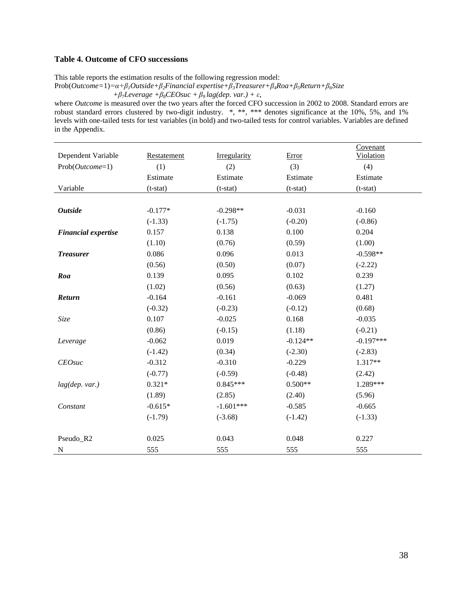### **Table 4. Outcome of CFO successions**

This table reports the estimation results of the following regression model:

Prob(*Outcome=*1)*=α+β1Outside+β2Financial expertise+β3Treasurer+β4Roa+β5Return+β6Size*

```
 +β7Leverage +β8CEOsuc +β9 lag(dep. var.) + ε,
```
where *Outcome* is measured over the two years after the forced CFO succession in 2002 to 2008. Standard errors are robust standard errors clustered by two-digit industry. \*, \*\*, \*\*\* denotes significance at the 10%, 5%, and 1% levels with one-tailed tests for test variables (in bold) and two-tailed tests for control variables. Variables are defined in the Appendix.

| Dependent Variable         | Restatement | Irregularity | Error      | Covenant<br><b>Violation</b> |
|----------------------------|-------------|--------------|------------|------------------------------|
| $Prob(Outcome=1)$          | (1)         | (2)          | (3)        | (4)                          |
|                            | Estimate    | Estimate     | Estimate   | Estimate                     |
| Variable                   | $(t-stat)$  | $(t-stat)$   | $(t-stat)$ | $(t-stat)$                   |
|                            |             |              |            |                              |
| <b>Outside</b>             | $-0.177*$   | $-0.298**$   | $-0.031$   | $-0.160$                     |
|                            | $(-1.33)$   | $(-1.75)$    | $(-0.20)$  | $(-0.86)$                    |
| <b>Financial expertise</b> | 0.157       | 0.138        | 0.100      | 0.204                        |
|                            | (1.10)      | (0.76)       | (0.59)     | (1.00)                       |
| <b>Treasurer</b>           | 0.086       | 0.096        | 0.013      | $-0.598**$                   |
|                            | (0.56)      | (0.50)       | (0.07)     | $(-2.22)$                    |
| Roa                        | 0.139       | 0.095        | 0.102      | 0.239                        |
|                            | (1.02)      | (0.56)       | (0.63)     | (1.27)                       |
| Return                     | $-0.164$    | $-0.161$     | $-0.069$   | 0.481                        |
|                            | $(-0.32)$   | $(-0.23)$    | $(-0.12)$  | (0.68)                       |
| Size                       | 0.107       | $-0.025$     | 0.168      | $-0.035$                     |
|                            | (0.86)      | $(-0.15)$    | (1.18)     | $(-0.21)$                    |
| Leverage                   | $-0.062$    | 0.019        | $-0.124**$ | $-0.197***$                  |
|                            | $(-1.42)$   | (0.34)       | $(-2.30)$  | $(-2.83)$                    |
| $CEO$ suc                  | $-0.312$    | $-0.310$     | $-0.229$   | 1.317**                      |
|                            | $(-0.77)$   | $(-0.59)$    | $(-0.48)$  | (2.42)                       |
| lag(dep. var.)             | $0.321*$    | $0.845***$   | $0.500**$  | 1.289***                     |
|                            | (1.89)      | (2.85)       | (2.40)     | (5.96)                       |
| Constant                   | $-0.615*$   | $-1.601***$  | $-0.585$   | $-0.665$                     |
|                            | $(-1.79)$   | $(-3.68)$    | $(-1.42)$  | $(-1.33)$                    |
|                            |             |              |            |                              |
| Pseudo_R2                  | 0.025       | 0.043        | 0.048      | 0.227                        |
| N                          | 555         | 555          | 555        | 555                          |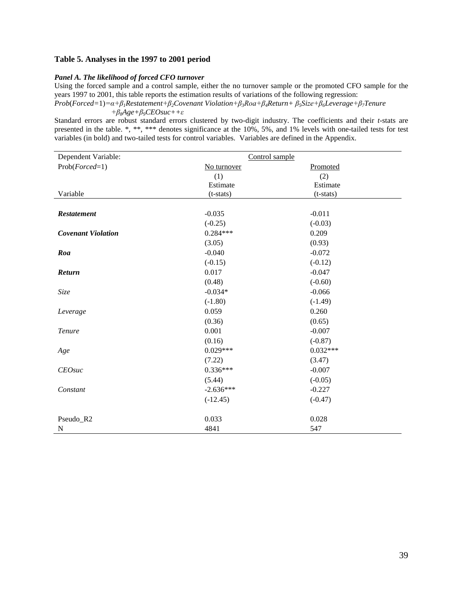### **Table 5. Analyses in the 1997 to 2001 period**

#### *Panel A. The likelihood of forced CFO turnover*

Using the forced sample and a control sample, either the no turnover sample or the promoted CFO sample for the years 1997 to 2001, this table reports the estimation results of variations of the following regression:

*Prob*(*Forced=*1)*=α+β1Restatement+β2Covenant Violation+β3Roa+β4Return+ β5Size+β6Leverage+β7Tenure +β8Age+β9CEOsuc++ε*

Standard errors are robust standard errors clustered by two-digit industry. The coefficients and their *t-*stats are presented in the table. \*, \*\*, \*\*\* denotes significance at the 10%, 5%, and 1% levels with one-tailed tests for test variables (in bold) and two-tailed tests for control variables. Variables are defined in the Appendix.

| Dependent Variable:       | Control sample |            |
|---------------------------|----------------|------------|
| $Prob(Fored=1)$           | No turnover    | Promoted   |
|                           | (1)            | (2)        |
|                           | Estimate       | Estimate   |
| Variable                  | $(t-stats)$    | (t-stats)  |
|                           |                |            |
| <b>Restatement</b>        | $-0.035$       | $-0.011$   |
|                           | $(-0.25)$      | $(-0.03)$  |
| <b>Covenant Violation</b> | $0.284***$     | 0.209      |
|                           | (3.05)         | (0.93)     |
| Roa                       | $-0.040$       | $-0.072$   |
|                           | $(-0.15)$      | $(-0.12)$  |
| Return                    | 0.017          | $-0.047$   |
|                           | (0.48)         | $(-0.60)$  |
| Size                      | $-0.034*$      | $-0.066$   |
|                           | $(-1.80)$      | $(-1.49)$  |
| Leverage                  | 0.059          | 0.260      |
|                           | (0.36)         | (0.65)     |
| <b>Tenure</b>             | 0.001          | $-0.007$   |
|                           | (0.16)         | $(-0.87)$  |
| Age                       | $0.029***$     | $0.032***$ |
|                           | (7.22)         | (3.47)     |
| <b>CEOsuc</b>             | $0.336***$     | $-0.007$   |
|                           | (5.44)         | $(-0.05)$  |
| Constant                  | $-2.636***$    | $-0.227$   |
|                           | $(-12.45)$     | $(-0.47)$  |
|                           |                |            |
| Pseudo_R2                 | 0.033          | 0.028      |
| N                         | 4841           | 547        |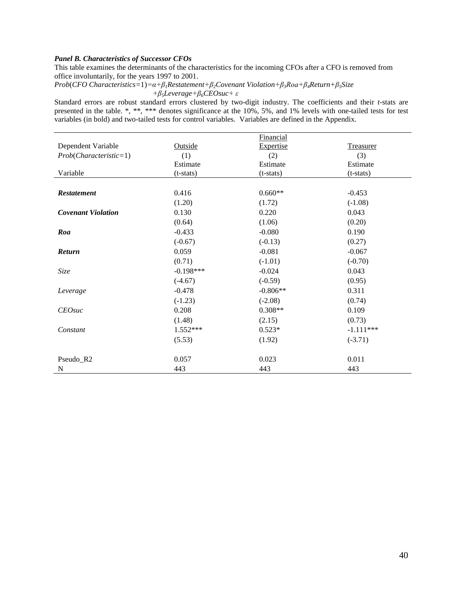### *Panel B. Characteristics of Successor CFOs*

This table examines the determinants of the characteristics for the incoming CFOs after a CFO is removed from office involuntarily, for the years 1997 to 2001.

*Prob*(*CFO Characteristics=*1)*=α+β1Restatement+β2Covenant Violation+β3Roa+β4Return+β5Size +β5Leverage+β6CEOsuc+ ε*

Standard errors are robust standard errors clustered by two-digit industry. The coefficients and their *t-*stats are presented in the table. \*, \*\*, \*\*\* denotes significance at the 10%, 5%, and 1% levels with one-tailed tests for test variables (in bold) and two-tailed tests for control variables. Variables are defined in the Appendix.

|                           |             | Financial        |                  |
|---------------------------|-------------|------------------|------------------|
| Dependent Variable        | Outside     | <b>Expertise</b> | <b>Treasurer</b> |
| $Prob(Characteristic=1)$  | (1)         | (2)              | (3)              |
|                           | Estimate    | Estimate         | Estimate         |
| Variable                  | $(t-stats)$ | $(t-stats)$      | $(t-stats)$      |
|                           |             |                  |                  |
| <b>Restatement</b>        | 0.416       | $0.660**$        | $-0.453$         |
|                           | (1.20)      | (1.72)           | $(-1.08)$        |
| <b>Covenant Violation</b> | 0.130       | 0.220            | 0.043            |
|                           | (0.64)      | (1.06)           | (0.20)           |
| Roa                       | $-0.433$    | $-0.080$         | 0.190            |
|                           | $(-0.67)$   | $(-0.13)$        | (0.27)           |
| <b>Return</b>             | 0.059       | $-0.081$         | $-0.067$         |
|                           | (0.71)      | $(-1.01)$        | $(-0.70)$        |
| Size                      | $-0.198***$ | $-0.024$         | 0.043            |
|                           | $(-4.67)$   | $(-0.59)$        | (0.95)           |
| Leverage                  | $-0.478$    | $-0.806**$       | 0.311            |
|                           | $(-1.23)$   | $(-2.08)$        | (0.74)           |
| $CEO$ suc                 | 0.208       | $0.308**$        | 0.109            |
|                           | (1.48)      | (2.15)           | (0.73)           |
| Constant                  | $1.552***$  | $0.523*$         | $-1.111***$      |
|                           | (5.53)      | (1.92)           | $(-3.71)$        |
|                           |             |                  |                  |
| Pseudo_R2                 | 0.057       | 0.023            | 0.011            |
| N                         | 443         | 443              | 443              |